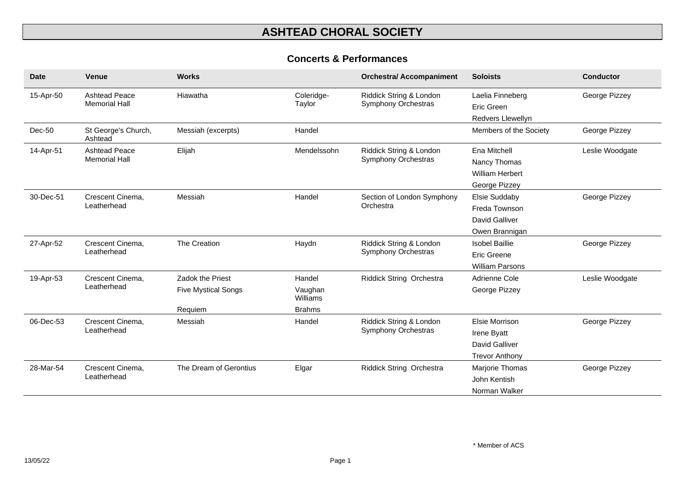#### **Concerts & Performances**

| <b>Date</b> | <b>Venue</b>                                 | <b>Works</b>                                                     |                                                | <b>Orchestra/ Accompaniment</b>                       | <b>Soloists</b>                                                          | <b>Conductor</b> |
|-------------|----------------------------------------------|------------------------------------------------------------------|------------------------------------------------|-------------------------------------------------------|--------------------------------------------------------------------------|------------------|
| 15-Apr-50   | <b>Ashtead Peace</b><br><b>Memorial Hall</b> | Hiawatha                                                         | Coleridge-<br>Taylor                           | Riddick String & London<br>Symphony Orchestras        | Laelia Finneberg<br>Eric Green<br><b>Redvers Llewellyn</b>               | George Pizzey    |
| Dec-50      | St George's Church,<br>Ashtead               | Messiah (excerpts)                                               | Handel                                         |                                                       | Members of the Society                                                   | George Pizzey    |
| 14-Apr-51   | <b>Ashtead Peace</b><br><b>Memorial Hall</b> | Elijah                                                           | Mendelssohn                                    | Riddick String & London<br>Symphony Orchestras        | Ena Mitchell<br>Nancy Thomas<br><b>William Herbert</b><br>George Pizzey  | Leslie Woodgate  |
| 30-Dec-51   | Crescent Cinema,<br>Leatherhead              | Messiah                                                          | Handel                                         | Section of London Symphony<br>Orchestra               | Elsie Suddaby<br>Freda Townson<br>David Galliver<br>Owen Brannigan       | George Pizzey    |
| 27-Apr-52   | Crescent Cinema,<br>Leatherhead              | The Creation                                                     | Haydn                                          | Riddick String & London<br>Symphony Orchestras        | <b>Isobel Baillie</b><br>Eric Greene<br><b>William Parsons</b>           | George Pizzey    |
| 19-Apr-53   | Crescent Cinema,<br>Leatherhead              | <b>Zadok the Priest</b><br><b>Five Mystical Songs</b><br>Requiem | Handel<br>Vaughan<br>Williams<br><b>Brahms</b> | Riddick String Orchestra                              | Adrienne Cole<br>George Pizzey                                           | Leslie Woodgate  |
| 06-Dec-53   | Crescent Cinema,<br>Leatherhead              | Messiah                                                          | Handel                                         | Riddick String & London<br><b>Symphony Orchestras</b> | Elsie Morrison<br>Irene Byatt<br>David Galliver<br><b>Trevor Anthony</b> | George Pizzey    |
| 28-Mar-54   | Crescent Cinema,<br>Leatherhead              | The Dream of Gerontius                                           | Elgar                                          | Riddick String Orchestra                              | Marjorie Thomas<br>John Kentish<br>Norman Walker                         | George Pizzey    |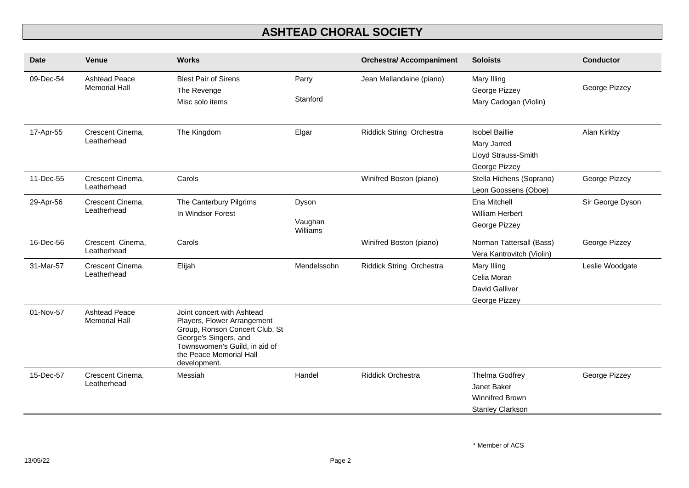| <b>Date</b> | <b>Venue</b>                                 | <b>Works</b>                                                                                                                                                                                     |                              | <b>Orchestra/ Accompaniment</b> | <b>Soloists</b>                                                                    | <b>Conductor</b> |
|-------------|----------------------------------------------|--------------------------------------------------------------------------------------------------------------------------------------------------------------------------------------------------|------------------------------|---------------------------------|------------------------------------------------------------------------------------|------------------|
| 09-Dec-54   | <b>Ashtead Peace</b><br><b>Memorial Hall</b> | <b>Blest Pair of Sirens</b><br>The Revenge<br>Misc solo items                                                                                                                                    | Parry<br>Stanford            | Jean Mallandaine (piano)        | Mary Illing<br>George Pizzey<br>Mary Cadogan (Violin)                              | George Pizzey    |
| 17-Apr-55   | Crescent Cinema,<br>Leatherhead              | The Kingdom                                                                                                                                                                                      | Elgar                        | Riddick String Orchestra        | <b>Isobel Baillie</b><br>Mary Jarred<br>Lloyd Strauss-Smith<br>George Pizzey       | Alan Kirkby      |
| 11-Dec-55   | Crescent Cinema,<br>Leatherhead              | Carols                                                                                                                                                                                           |                              | Winifred Boston (piano)         | Stella Hichens (Soprano)<br>Leon Goossens (Oboe)                                   | George Pizzey    |
| 29-Apr-56   | Crescent Cinema,<br>Leatherhead              | The Canterbury Pilgrims<br>In Windsor Forest                                                                                                                                                     | Dyson<br>Vaughan<br>Williams |                                 | Ena Mitchell<br>William Herbert<br>George Pizzey                                   | Sir George Dyson |
| 16-Dec-56   | Crescent Cinema,<br>Leatherhead              | Carols                                                                                                                                                                                           |                              | Winifred Boston (piano)         | Norman Tattersall (Bass)<br>Vera Kantrovitch (Violin)                              | George Pizzey    |
| 31-Mar-57   | Crescent Cinema,<br>Leatherhead              | Elijah                                                                                                                                                                                           | Mendelssohn                  | Riddick String Orchestra        | Mary Illing<br>Celia Moran<br>David Galliver<br>George Pizzey                      | Leslie Woodgate  |
| 01-Nov-57   | <b>Ashtead Peace</b><br><b>Memorial Hall</b> | Joint concert with Ashtead<br>Players, Flower Arrangement<br>Group, Ronson Concert Club, St<br>George's Singers, and<br>Townswomen's Guild, in aid of<br>the Peace Memorial Hall<br>development. |                              |                                 |                                                                                    |                  |
| 15-Dec-57   | Crescent Cinema,<br>Leatherhead              | Messiah                                                                                                                                                                                          | Handel                       | <b>Riddick Orchestra</b>        | Thelma Godfrey<br>Janet Baker<br><b>Winnifred Brown</b><br><b>Stanley Clarkson</b> | George Pizzey    |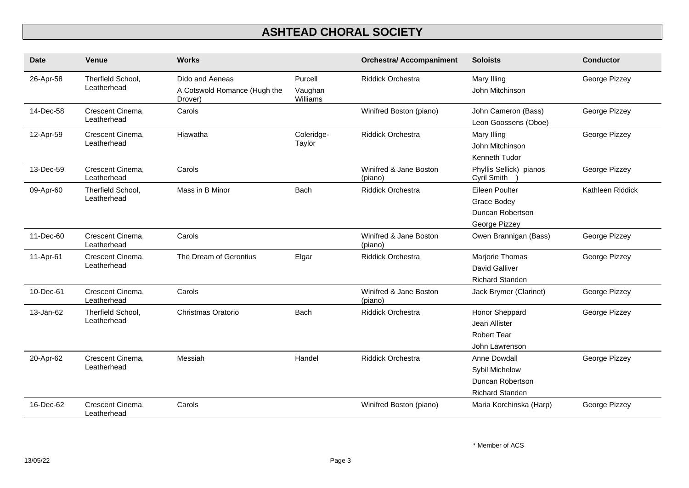| <b>Date</b> | <b>Venue</b>                     | <b>Works</b>                                               |                                | <b>Orchestra/ Accompaniment</b>   | <b>Soloists</b>                                                              | <b>Conductor</b> |
|-------------|----------------------------------|------------------------------------------------------------|--------------------------------|-----------------------------------|------------------------------------------------------------------------------|------------------|
| 26-Apr-58   | Therfield School,<br>Leatherhead | Dido and Aeneas<br>A Cotswold Romance (Hugh the<br>Drover) | Purcell<br>Vaughan<br>Williams | <b>Riddick Orchestra</b>          | Mary Illing<br>John Mitchinson                                               | George Pizzey    |
| 14-Dec-58   | Crescent Cinema,<br>Leatherhead  | Carols                                                     |                                | Winifred Boston (piano)           | John Cameron (Bass)<br>Leon Goossens (Oboe)                                  | George Pizzey    |
| 12-Apr-59   | Crescent Cinema,<br>Leatherhead  | Hiawatha                                                   | Coleridge-<br>Taylor           | <b>Riddick Orchestra</b>          | Mary Illing<br>John Mitchinson<br>Kenneth Tudor                              | George Pizzey    |
| 13-Dec-59   | Crescent Cinema,<br>Leatherhead  | Carols                                                     |                                | Winifred & Jane Boston<br>(piano) | Phyllis Sellick) pianos<br>Cyril Smith                                       | George Pizzey    |
| 09-Apr-60   | Therfield School,<br>Leatherhead | Mass in B Minor                                            | <b>Bach</b>                    | Riddick Orchestra                 | Eileen Poulter<br>Grace Bodey<br>Duncan Robertson<br>George Pizzey           | Kathleen Riddick |
| 11-Dec-60   | Crescent Cinema,<br>Leatherhead  | Carols                                                     |                                | Winifred & Jane Boston<br>(piano) | Owen Brannigan (Bass)                                                        | George Pizzey    |
| 11-Apr-61   | Crescent Cinema,<br>Leatherhead  | The Dream of Gerontius                                     | Elgar                          | <b>Riddick Orchestra</b>          | Marjorie Thomas<br><b>David Galliver</b><br><b>Richard Standen</b>           | George Pizzey    |
| 10-Dec-61   | Crescent Cinema,<br>Leatherhead  | Carols                                                     |                                | Winifred & Jane Boston<br>(piano) | Jack Brymer (Clarinet)                                                       | George Pizzey    |
| 13-Jan-62   | Therfield School.<br>Leatherhead | Christmas Oratorio                                         | Bach                           | <b>Riddick Orchestra</b>          | Honor Sheppard<br>Jean Allister<br><b>Robert Tear</b><br>John Lawrenson      | George Pizzey    |
| 20-Apr-62   | Crescent Cinema,<br>Leatherhead  | Messiah                                                    | Handel                         | <b>Riddick Orchestra</b>          | Anne Dowdall<br>Sybil Michelow<br>Duncan Robertson<br><b>Richard Standen</b> | George Pizzey    |
| 16-Dec-62   | Crescent Cinema,<br>Leatherhead  | Carols                                                     |                                | Winifred Boston (piano)           | Maria Korchinska (Harp)                                                      | George Pizzey    |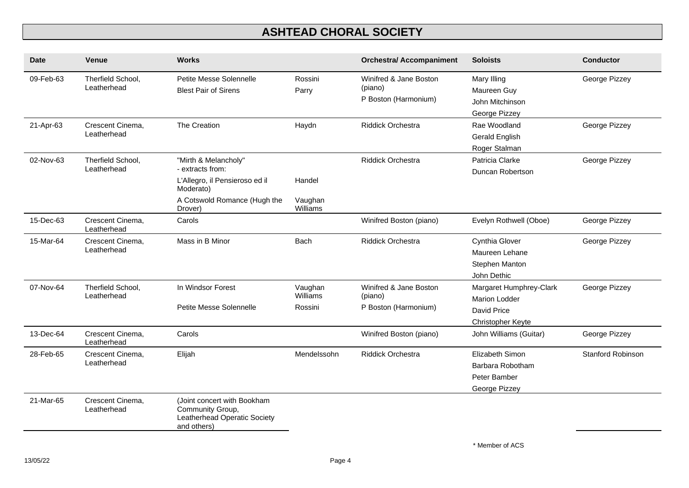| <b>Date</b> | <b>Venue</b>                     | <b>Works</b>                                                                                                                       |                                | <b>Orchestra/ Accompaniment</b>                           | <b>Soloists</b>                                                                     | <b>Conductor</b>         |
|-------------|----------------------------------|------------------------------------------------------------------------------------------------------------------------------------|--------------------------------|-----------------------------------------------------------|-------------------------------------------------------------------------------------|--------------------------|
| 09-Feb-63   | Therfield School,<br>Leatherhead | Petite Messe Solennelle<br><b>Blest Pair of Sirens</b>                                                                             | Rossini<br>Parry               | Winifred & Jane Boston<br>(piano)<br>P Boston (Harmonium) | Mary Illing<br>Maureen Guy<br>John Mitchinson<br>George Pizzey                      | George Pizzey            |
| 21-Apr-63   | Crescent Cinema,<br>Leatherhead  | The Creation                                                                                                                       | Haydn                          | <b>Riddick Orchestra</b>                                  | Rae Woodland<br>Gerald English<br>Roger Stalman                                     | George Pizzey            |
| 02-Nov-63   | Therfield School,<br>Leatherhead | "Mirth & Melancholy"<br>- extracts from:<br>L'Allegro, il Pensieroso ed il<br>Moderato)<br>A Cotswold Romance (Hugh the<br>Drover) | Handel<br>Vaughan<br>Williams  | Riddick Orchestra                                         | Patricia Clarke<br>Duncan Robertson                                                 | George Pizzey            |
| 15-Dec-63   | Crescent Cinema,<br>Leatherhead  | Carols                                                                                                                             |                                | Winifred Boston (piano)                                   | Evelyn Rothwell (Oboe)                                                              | George Pizzey            |
| 15-Mar-64   | Crescent Cinema,<br>Leatherhead  | Mass in B Minor                                                                                                                    | <b>Bach</b>                    | <b>Riddick Orchestra</b>                                  | Cynthia Glover<br>Maureen Lehane<br>Stephen Manton<br>John Dethic                   | George Pizzey            |
| 07-Nov-64   | Therfield School,<br>Leatherhead | In Windsor Forest<br>Petite Messe Solennelle                                                                                       | Vaughan<br>Williams<br>Rossini | Winifred & Jane Boston<br>(piano)<br>P Boston (Harmonium) | Margaret Humphrey-Clark<br><b>Marion Lodder</b><br>David Price<br>Christopher Keyte | George Pizzey            |
| 13-Dec-64   | Crescent Cinema,<br>Leatherhead  | Carols                                                                                                                             |                                | Winifred Boston (piano)                                   | John Williams (Guitar)                                                              | George Pizzey            |
| 28-Feb-65   | Crescent Cinema,<br>Leatherhead  | Elijah                                                                                                                             | Mendelssohn                    | <b>Riddick Orchestra</b>                                  | Elizabeth Simon<br>Barbara Robotham<br>Peter Bamber<br>George Pizzey                | <b>Stanford Robinson</b> |
| 21-Mar-65   | Crescent Cinema,<br>Leatherhead  | (Joint concert with Bookham<br>Community Group,<br>Leatherhead Operatic Society<br>and others)                                     |                                |                                                           |                                                                                     |                          |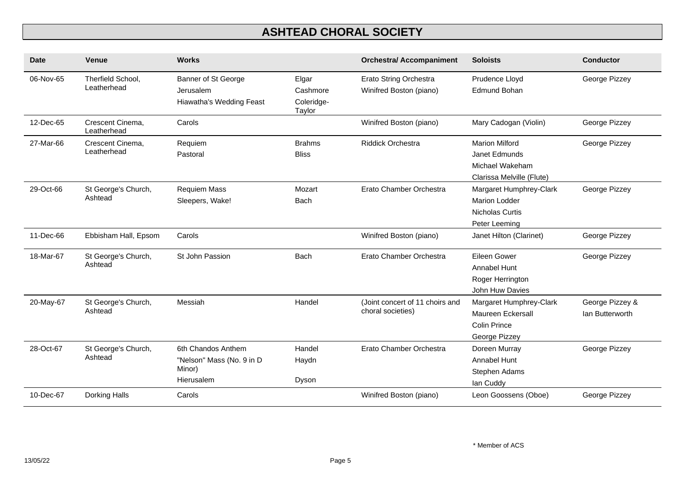| Date      | Venue                            | <b>Works</b>                                                            |                                           | <b>Orchestra/ Accompaniment</b>                          | <b>Soloists</b>                                                                        | <b>Conductor</b>                   |
|-----------|----------------------------------|-------------------------------------------------------------------------|-------------------------------------------|----------------------------------------------------------|----------------------------------------------------------------------------------------|------------------------------------|
| 06-Nov-65 | Therfield School,<br>Leatherhead | Banner of St George<br>Jerusalem<br>Hiawatha's Wedding Feast            | Elgar<br>Cashmore<br>Coleridge-<br>Taylor | <b>Erato String Orchestra</b><br>Winifred Boston (piano) | Prudence Lloyd<br>Edmund Bohan                                                         | George Pizzey                      |
| 12-Dec-65 | Crescent Cinema,<br>Leatherhead  | Carols                                                                  |                                           | Winifred Boston (piano)                                  | Mary Cadogan (Violin)                                                                  | George Pizzey                      |
| 27-Mar-66 | Crescent Cinema,<br>Leatherhead  | Requiem<br>Pastoral                                                     | <b>Brahms</b><br><b>Bliss</b>             | <b>Riddick Orchestra</b>                                 | <b>Marion Milford</b><br>Janet Edmunds<br>Michael Wakeham<br>Clarissa Melville (Flute) | George Pizzey                      |
| 29-Oct-66 | St George's Church,<br>Ashtead   | <b>Requiem Mass</b><br>Sleepers, Wake!                                  | Mozart<br>Bach                            | Erato Chamber Orchestra                                  | Margaret Humphrey-Clark<br><b>Marion Lodder</b><br>Nicholas Curtis<br>Peter Leeming    | George Pizzey                      |
| 11-Dec-66 | Ebbisham Hall, Epsom             | Carols                                                                  |                                           | Winifred Boston (piano)                                  | Janet Hilton (Clarinet)                                                                | George Pizzey                      |
| 18-Mar-67 | St George's Church,<br>Ashtead   | St John Passion                                                         | <b>Bach</b>                               | Erato Chamber Orchestra                                  | Eileen Gower<br>Annabel Hunt<br>Roger Herrington<br>John Huw Davies                    | George Pizzey                      |
| 20-May-67 | St George's Church,<br>Ashtead   | Messiah                                                                 | Handel                                    | (Joint concert of 11 choirs and<br>choral societies)     | Margaret Humphrey-Clark<br>Maureen Eckersall<br>Colin Prince<br>George Pizzey          | George Pizzey &<br>lan Butterworth |
| 28-Oct-67 | St George's Church,<br>Ashtead   | 6th Chandos Anthem<br>"Nelson" Mass (No. 9 in D<br>Minor)<br>Hierusalem | Handel<br>Haydn<br>Dyson                  | Erato Chamber Orchestra                                  | Doreen Murray<br>Annabel Hunt<br>Stephen Adams<br>lan Cuddy                            | George Pizzey                      |
| 10-Dec-67 | Dorking Halls                    | Carols                                                                  |                                           | Winifred Boston (piano)                                  | Leon Goossens (Oboe)                                                                   | George Pizzey                      |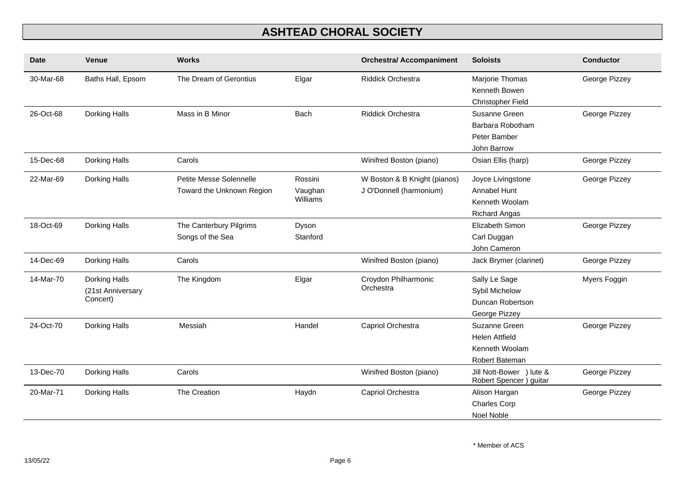| <b>Date</b> | <b>Venue</b>                                   | <b>Works</b>                                         |                                | <b>Orchestra/ Accompaniment</b>                         | <b>Soloists</b>                                                             | <b>Conductor</b> |
|-------------|------------------------------------------------|------------------------------------------------------|--------------------------------|---------------------------------------------------------|-----------------------------------------------------------------------------|------------------|
| 30-Mar-68   | Baths Hall, Epsom                              | The Dream of Gerontius                               | Elgar                          | <b>Riddick Orchestra</b>                                | Marjorie Thomas<br>Kenneth Bowen<br>Christopher Field                       | George Pizzey    |
| 26-Oct-68   | Dorking Halls                                  | Mass in B Minor                                      | Bach                           | <b>Riddick Orchestra</b>                                | Susanne Green<br>Barbara Robotham<br>Peter Bamber<br>John Barrow            | George Pizzey    |
| 15-Dec-68   | Dorking Halls                                  | Carols                                               |                                | Winifred Boston (piano)                                 | Osian Ellis (harp)                                                          | George Pizzey    |
| 22-Mar-69   | Dorking Halls                                  | Petite Messe Solennelle<br>Toward the Unknown Region | Rossini<br>Vaughan<br>Williams | W Boston & B Knight (pianos)<br>J O'Donnell (harmonium) | Joyce Livingstone<br>Annabel Hunt<br>Kenneth Woolam<br><b>Richard Angas</b> | George Pizzey    |
| 18-Oct-69   | Dorking Halls                                  | The Canterbury Pilgrims<br>Songs of the Sea          | Dyson<br>Stanford              |                                                         | Elizabeth Simon<br>Carl Duggan<br>John Cameron                              | George Pizzey    |
| 14-Dec-69   | Dorking Halls                                  | Carols                                               |                                | Winifred Boston (piano)                                 | Jack Brymer (clarinet)                                                      | George Pizzey    |
| 14-Mar-70   | Dorking Halls<br>(21st Anniversary<br>Concert) | The Kingdom                                          | Elgar                          | Croydon Philharmonic<br>Orchestra                       | Sally Le Sage<br>Sybil Michelow<br>Duncan Robertson<br>George Pizzey        | Myers Foggin     |
| 24-Oct-70   | Dorking Halls                                  | Messiah                                              | Handel                         | Capriol Orchestra                                       | Suzanne Green<br><b>Helen Attfield</b><br>Kenneth Woolam<br>Robert Bateman  | George Pizzey    |
| 13-Dec-70   | Dorking Halls                                  | Carols                                               |                                | Winifred Boston (piano)                                 | Jill Nott-Bower ) lute &<br>Robert Spencer) guitar                          | George Pizzey    |
| 20-Mar-71   | Dorking Halls                                  | The Creation                                         | Haydn                          | Capriol Orchestra                                       | Alison Hargan<br><b>Charles Corp</b><br>Noel Noble                          | George Pizzey    |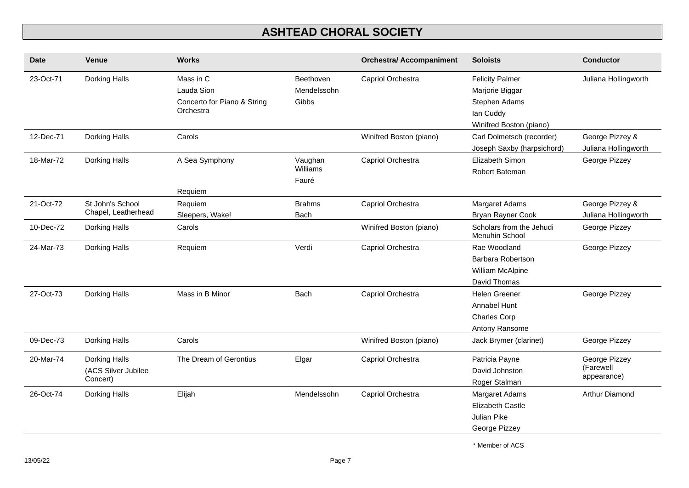| <b>Date</b> | <b>Venue</b>                                     | <b>Works</b>                                                        |                                   | <b>Orchestra/ Accompaniment</b> | <b>Soloists</b>                                                                                    | <b>Conductor</b>                          |
|-------------|--------------------------------------------------|---------------------------------------------------------------------|-----------------------------------|---------------------------------|----------------------------------------------------------------------------------------------------|-------------------------------------------|
| 23-Oct-71   | Dorking Halls                                    | Mass in C<br>Lauda Sion<br>Concerto for Piano & String<br>Orchestra | Beethoven<br>Mendelssohn<br>Gibbs | Capriol Orchestra               | <b>Felicity Palmer</b><br>Marjorie Biggar<br>Stephen Adams<br>lan Cuddy<br>Winifred Boston (piano) | Juliana Hollingworth                      |
| 12-Dec-71   | Dorking Halls                                    | Carols                                                              |                                   | Winifred Boston (piano)         | Carl Dolmetsch (recorder)<br>Joseph Saxby (harpsichord)                                            | George Pizzey &<br>Juliana Hollingworth   |
| 18-Mar-72   | Dorking Halls                                    | A Sea Symphony<br>Requiem                                           | Vaughan<br>Williams<br>Fauré      | Capriol Orchestra               | Elizabeth Simon<br>Robert Bateman                                                                  | George Pizzey                             |
| 21-Oct-72   | St John's School<br>Chapel, Leatherhead          | Requiem<br>Sleepers, Wake!                                          | <b>Brahms</b><br><b>Bach</b>      | Capriol Orchestra               | Margaret Adams<br><b>Bryan Rayner Cook</b>                                                         | George Pizzey &<br>Juliana Hollingworth   |
| 10-Dec-72   | Dorking Halls                                    | Carols                                                              |                                   | Winifred Boston (piano)         | Scholars from the Jehudi<br>Menuhin School                                                         | George Pizzey                             |
| 24-Mar-73   | Dorking Halls                                    | Requiem                                                             | Verdi                             | Capriol Orchestra               | Rae Woodland<br><b>Barbara Robertson</b><br><b>William McAlpine</b><br>David Thomas                | George Pizzey                             |
| 27-Oct-73   | Dorking Halls                                    | Mass in B Minor                                                     | <b>Bach</b>                       | Capriol Orchestra               | <b>Helen Greener</b><br>Annabel Hunt<br><b>Charles Corp</b><br>Antony Ransome                      | George Pizzey                             |
| 09-Dec-73   | Dorking Halls                                    | Carols                                                              |                                   | Winifred Boston (piano)         | Jack Brymer (clarinet)                                                                             | George Pizzey                             |
| 20-Mar-74   | Dorking Halls<br>(ACS Silver Jubilee<br>Concert) | The Dream of Gerontius                                              | Elgar                             | Capriol Orchestra               | Patricia Payne<br>David Johnston<br>Roger Stalman                                                  | George Pizzey<br>(Farewell<br>appearance) |
| 26-Oct-74   | Dorking Halls                                    | Elijah                                                              | Mendelssohn                       | Capriol Orchestra               | Margaret Adams<br><b>Elizabeth Castle</b><br>Julian Pike<br>George Pizzey                          | Arthur Diamond                            |

\* Member of ACS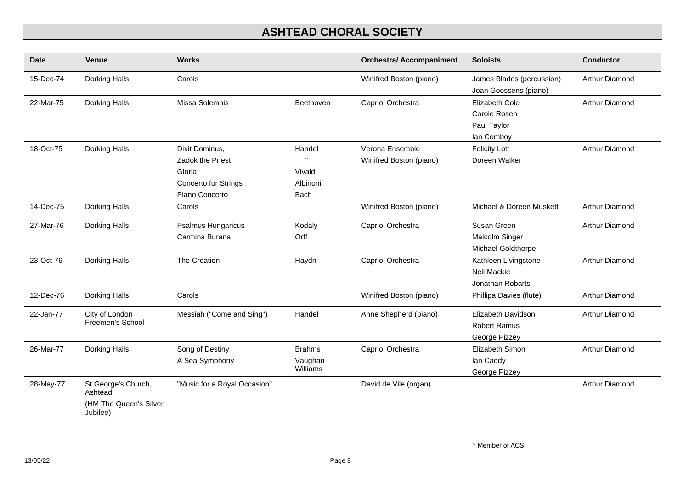| <b>Date</b> | <b>Venue</b>                                                         | <b>Works</b>                                                                                  |                                       | <b>Orchestra/ Accompaniment</b>            | <b>Soloists</b>                                                | <b>Conductor</b>      |
|-------------|----------------------------------------------------------------------|-----------------------------------------------------------------------------------------------|---------------------------------------|--------------------------------------------|----------------------------------------------------------------|-----------------------|
| 15-Dec-74   | Dorking Halls                                                        | Carols                                                                                        |                                       | Winifred Boston (piano)                    | James Blades (percussion)<br>Joan Goossens (piano)             | Arthur Diamond        |
| 22-Mar-75   | Dorking Halls                                                        | Missa Solemnis                                                                                | Beethoven                             | Capriol Orchestra                          | Elizabeth Cole<br>Carole Rosen<br>Paul Taylor<br>lan Comboy    | Arthur Diamond        |
| 18-Oct-75   | Dorking Halls                                                        | Dixit Dominus,<br><b>Zadok the Priest</b><br>Gloria<br>Concerto for Strings<br>Piano Concerto | Handel<br>Vivaldi<br>Albinoni<br>Bach | Verona Ensemble<br>Winifred Boston (piano) | <b>Felicity Lott</b><br>Doreen Walker                          | Arthur Diamond        |
| 14-Dec-75   | Dorking Halls                                                        | Carols                                                                                        |                                       | Winifred Boston (piano)                    | Michael & Doreen Muskett                                       | Arthur Diamond        |
| 27-Mar-76   | Dorking Halls                                                        | <b>Psalmus Hungaricus</b><br>Carmina Burana                                                   | Kodaly<br>Orff                        | Capriol Orchestra                          | Susan Green<br>Malcolm Singer<br>Michael Goldthorpe            | Arthur Diamond        |
| 23-Oct-76   | Dorking Halls                                                        | The Creation                                                                                  | Haydn                                 | Capriol Orchestra                          | Kathleen Livingstone<br><b>Neil Mackie</b><br>Jonathan Robarts | <b>Arthur Diamond</b> |
| 12-Dec-76   | Dorking Halls                                                        | Carols                                                                                        |                                       | Winifred Boston (piano)                    | Phillipa Davies (flute)                                        | Arthur Diamond        |
| 22-Jan-77   | City of London<br>Freemen's School                                   | Messiah ("Come and Sing")                                                                     | Handel                                | Anne Shepherd (piano)                      | Elizabeth Davidson<br><b>Robert Ramus</b><br>George Pizzey     | <b>Arthur Diamond</b> |
| 26-Mar-77   | Dorking Halls                                                        | Song of Destiny<br>A Sea Symphony                                                             | <b>Brahms</b><br>Vaughan<br>Williams  | Capriol Orchestra                          | Elizabeth Simon<br>lan Caddy<br>George Pizzey                  | <b>Arthur Diamond</b> |
| 28-May-77   | St George's Church,<br>Ashtead<br>(HM The Queen's Silver<br>Jubilee) | "Music for a Royal Occasion"                                                                  |                                       | David de Vile (organ)                      |                                                                | Arthur Diamond        |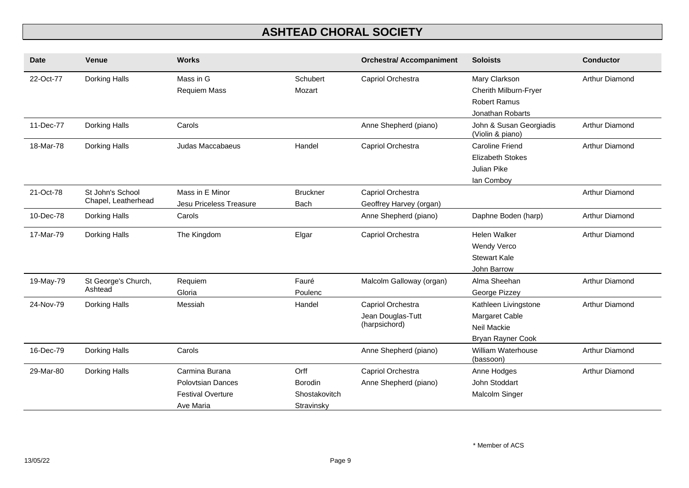| <b>Date</b> | <b>Venue</b>                            | <b>Works</b>                                                                        |                                                | <b>Orchestra/ Accompaniment</b>                         | <b>Soloists</b>                                                                   | <b>Conductor</b> |
|-------------|-----------------------------------------|-------------------------------------------------------------------------------------|------------------------------------------------|---------------------------------------------------------|-----------------------------------------------------------------------------------|------------------|
| 22-Oct-77   | Dorking Halls                           | Mass in G<br>Requiem Mass                                                           | Schubert<br>Mozart                             | Capriol Orchestra                                       | Mary Clarkson<br>Cherith Milburn-Fryer<br><b>Robert Ramus</b><br>Jonathan Robarts | Arthur Diamond   |
| 11-Dec-77   | Dorking Halls                           | Carols                                                                              |                                                | Anne Shepherd (piano)                                   | John & Susan Georgiadis<br>(Violin & piano)                                       | Arthur Diamond   |
| 18-Mar-78   | Dorking Halls                           | Judas Maccabaeus                                                                    | Handel                                         | Capriol Orchestra                                       | <b>Caroline Friend</b><br><b>Elizabeth Stokes</b><br>Julian Pike<br>lan Comboy    | Arthur Diamond   |
| 21-Oct-78   | St John's School<br>Chapel, Leatherhead | Mass in E Minor<br>Jesu Priceless Treasure                                          | <b>Bruckner</b><br>Bach                        | Capriol Orchestra<br>Geoffrey Harvey (organ)            |                                                                                   | Arthur Diamond   |
| 10-Dec-78   | Dorking Halls                           | Carols                                                                              |                                                | Anne Shepherd (piano)                                   | Daphne Boden (harp)                                                               | Arthur Diamond   |
| 17-Mar-79   | Dorking Halls                           | The Kingdom                                                                         | Elgar                                          | Capriol Orchestra                                       | <b>Helen Walker</b><br>Wendy Verco<br><b>Stewart Kale</b><br>John Barrow          | Arthur Diamond   |
| 19-May-79   | St George's Church,<br>Ashtead          | Requiem<br>Gloria                                                                   | Fauré<br>Poulenc                               | Malcolm Galloway (organ)                                | Alma Sheehan<br>George Pizzey                                                     | Arthur Diamond   |
| 24-Nov-79   | Dorking Halls                           | Messiah                                                                             | Handel                                         | Capriol Orchestra<br>Jean Douglas-Tutt<br>(harpsichord) | Kathleen Livingstone<br>Margaret Cable<br>Neil Mackie<br>Bryan Rayner Cook        | Arthur Diamond   |
| 16-Dec-79   | Dorking Halls                           | Carols                                                                              |                                                | Anne Shepherd (piano)                                   | William Waterhouse<br>(bassoon)                                                   | Arthur Diamond   |
| 29-Mar-80   | Dorking Halls                           | Carmina Burana<br><b>Polovtsian Dances</b><br><b>Festival Overture</b><br>Ave Maria | Orff<br>Borodin<br>Shostakovitch<br>Stravinsky | Capriol Orchestra<br>Anne Shepherd (piano)              | Anne Hodges<br>John Stoddart<br>Malcolm Singer                                    | Arthur Diamond   |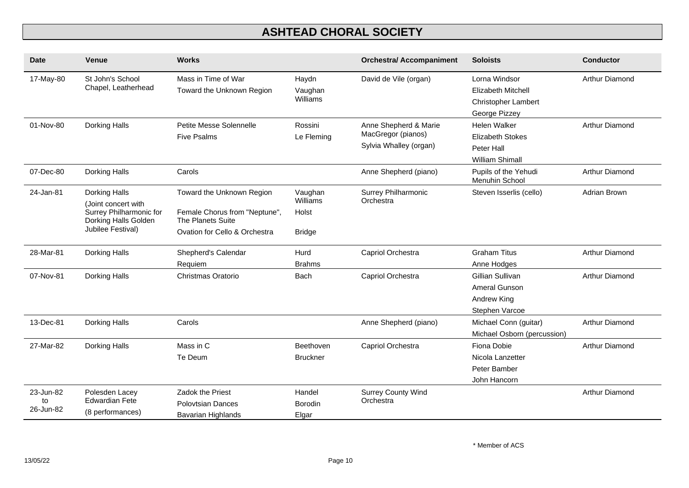| <b>Date</b>                  | Venue                                                                                                        | <b>Works</b>                                                                                                     |                                               | <b>Orchestra/ Accompaniment</b>                                       | <b>Soloists</b>                                                                           | <b>Conductor</b>      |
|------------------------------|--------------------------------------------------------------------------------------------------------------|------------------------------------------------------------------------------------------------------------------|-----------------------------------------------|-----------------------------------------------------------------------|-------------------------------------------------------------------------------------------|-----------------------|
| 17-May-80                    | St John's School<br>Chapel, Leatherhead                                                                      | Mass in Time of War<br>Toward the Unknown Region                                                                 | Haydn<br>Vaughan<br>Williams                  | David de Vile (organ)                                                 | Lorna Windsor<br><b>Elizabeth Mitchell</b><br><b>Christopher Lambert</b><br>George Pizzey | Arthur Diamond        |
| 01-Nov-80                    | Dorking Halls                                                                                                | Petite Messe Solennelle<br><b>Five Psalms</b>                                                                    | Rossini<br>Le Fleming                         | Anne Shepherd & Marie<br>MacGregor (pianos)<br>Sylvia Whalley (organ) | Helen Walker<br><b>Elizabeth Stokes</b><br>Peter Hall<br><b>William Shimall</b>           | Arthur Diamond        |
| 07-Dec-80                    | Dorking Halls                                                                                                | Carols                                                                                                           |                                               | Anne Shepherd (piano)                                                 | Pupils of the Yehudi<br>Menuhin School                                                    | Arthur Diamond        |
| 24-Jan-81                    | Dorking Halls<br>(Joint concert with<br>Surrey Philharmonic for<br>Dorking Halls Golden<br>Jubilee Festival) | Toward the Unknown Region<br>Female Chorus from "Neptune",<br>The Planets Suite<br>Ovation for Cello & Orchestra | Vaughan<br>Williams<br>Holst<br><b>Bridge</b> | Surrey Philharmonic<br>Orchestra                                      | Steven Isserlis (cello)                                                                   | Adrian Brown          |
| 28-Mar-81                    | Dorking Halls                                                                                                | Shepherd's Calendar<br>Requiem                                                                                   | Hurd<br><b>Brahms</b>                         | Capriol Orchestra                                                     | <b>Graham Titus</b><br>Anne Hodges                                                        | <b>Arthur Diamond</b> |
| 07-Nov-81                    | Dorking Halls                                                                                                | Christmas Oratorio                                                                                               | <b>Bach</b>                                   | Capriol Orchestra                                                     | Gillian Sullivan<br>Ameral Gunson<br>Andrew King<br>Stephen Varcoe                        | Arthur Diamond        |
| 13-Dec-81                    | Dorking Halls                                                                                                | Carols                                                                                                           |                                               | Anne Shepherd (piano)                                                 | Michael Conn (guitar)<br>Michael Osborn (percussion)                                      | Arthur Diamond        |
| 27-Mar-82                    | Dorking Halls                                                                                                | Mass in C<br>Te Deum                                                                                             | Beethoven<br><b>Bruckner</b>                  | Capriol Orchestra                                                     | Fiona Dobie<br>Nicola Lanzetter<br>Peter Bamber<br>John Hancorn                           | Arthur Diamond        |
| 23-Jun-82<br>to<br>26-Jun-82 | Polesden Lacey<br><b>Edwardian Fete</b><br>(8 performances)                                                  | Zadok the Priest<br>Polovtsian Dances<br>Bavarian Highlands                                                      | Handel<br><b>Borodin</b><br>Elgar             | <b>Surrey County Wind</b><br>Orchestra                                |                                                                                           | Arthur Diamond        |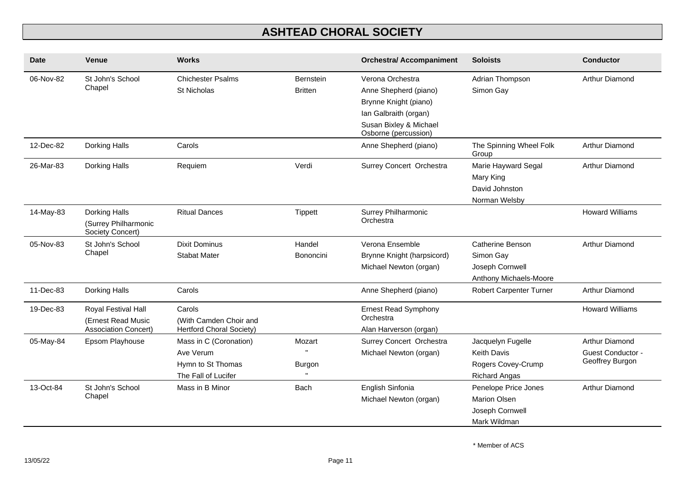| Date      | Venue                                                                    | <b>Works</b>                                                                    |                             | <b>Orchestra/ Accompaniment</b>                                                                                                               | <b>Soloists</b>                                                                       | <b>Conductor</b>                                       |
|-----------|--------------------------------------------------------------------------|---------------------------------------------------------------------------------|-----------------------------|-----------------------------------------------------------------------------------------------------------------------------------------------|---------------------------------------------------------------------------------------|--------------------------------------------------------|
| 06-Nov-82 | St John's School<br>Chapel                                               | <b>Chichester Psalms</b><br><b>St Nicholas</b>                                  | Bernstein<br><b>Britten</b> | Verona Orchestra<br>Anne Shepherd (piano)<br>Brynne Knight (piano)<br>Ian Galbraith (organ)<br>Susan Bixley & Michael<br>Osborne (percussion) | Adrian Thompson<br>Simon Gay                                                          | Arthur Diamond                                         |
| 12-Dec-82 | Dorking Halls                                                            | Carols                                                                          |                             | Anne Shepherd (piano)                                                                                                                         | The Spinning Wheel Folk<br>Group                                                      | Arthur Diamond                                         |
| 26-Mar-83 | Dorking Halls                                                            | Requiem                                                                         | Verdi                       | Surrey Concert Orchestra                                                                                                                      | Marie Hayward Segal<br>Mary King<br>David Johnston<br>Norman Welsby                   | Arthur Diamond                                         |
| 14-May-83 | Dorking Halls<br>(Surrey Philharmonic<br>Society Concert)                | <b>Ritual Dances</b>                                                            | Tippett                     | Surrey Philharmonic<br>Orchestra                                                                                                              |                                                                                       | <b>Howard Williams</b>                                 |
| 05-Nov-83 | St John's School<br>Chapel                                               | Dixit Dominus<br><b>Stabat Mater</b>                                            | Handel<br><b>Bononcini</b>  | Verona Ensemble<br>Brynne Knight (harpsicord)<br>Michael Newton (organ)                                                                       | Catherine Benson<br>Simon Gay<br>Joseph Cornwell<br>Anthony Michaels-Moore            | Arthur Diamond                                         |
| 11-Dec-83 | Dorking Halls                                                            | Carols                                                                          |                             | Anne Shepherd (piano)                                                                                                                         | <b>Robert Carpenter Turner</b>                                                        | Arthur Diamond                                         |
| 19-Dec-83 | Royal Festival Hall<br>(Ernest Read Music<br><b>Association Concert)</b> | Carols<br>(With Camden Choir and<br>Hertford Choral Society)                    |                             | <b>Ernest Read Symphony</b><br>Orchestra<br>Alan Harverson (organ)                                                                            |                                                                                       | <b>Howard Williams</b>                                 |
| 05-May-84 | Epsom Playhouse                                                          | Mass in C (Coronation)<br>Ave Verum<br>Hymn to St Thomas<br>The Fall of Lucifer | Mozart<br>Burgon            | Surrey Concert Orchestra<br>Michael Newton (organ)                                                                                            | Jacquelyn Fugelle<br><b>Keith Davis</b><br>Rogers Covey-Crump<br><b>Richard Angas</b> | Arthur Diamond<br>Guest Conductor -<br>Geoffrey Burgon |
| 13-Oct-84 | St John's School<br>Chapel                                               | Mass in B Minor                                                                 | <b>Bach</b>                 | English Sinfonia<br>Michael Newton (organ)                                                                                                    | Penelope Price Jones<br>Marion Olsen<br>Joseph Cornwell<br>Mark Wildman               | Arthur Diamond                                         |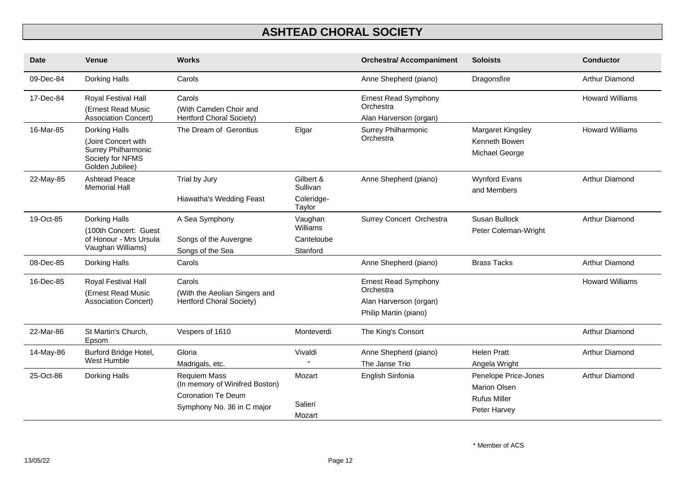| <b>Date</b> | <b>Venue</b>                                                                                       | <b>Works</b>                                                                                                     |                                               | <b>Orchestra/ Accompaniment</b>                                                             | <b>Soloists</b>                                                                    | <b>Conductor</b>       |
|-------------|----------------------------------------------------------------------------------------------------|------------------------------------------------------------------------------------------------------------------|-----------------------------------------------|---------------------------------------------------------------------------------------------|------------------------------------------------------------------------------------|------------------------|
| 09-Dec-84   | Dorking Halls                                                                                      | Carols                                                                                                           |                                               | Anne Shepherd (piano)                                                                       | Dragonsfire                                                                        | Arthur Diamond         |
| 17-Dec-84   | Royal Festival Hall<br>(Ernest Read Music<br>Association Concert)                                  | Carols<br>(With Camden Choir and<br><b>Hertford Choral Society)</b>                                              |                                               | <b>Ernest Read Symphony</b><br>Orchestra<br>Alan Harverson (organ)                          |                                                                                    | <b>Howard Williams</b> |
| 16-Mar-85   | Dorking Halls<br>(Joint Concert with<br>Surrey Philharmonic<br>Society for NFMS<br>Golden Jubilee) | The Dream of Gerontius                                                                                           | Elgar                                         | Surrey Philharmonic<br>Orchestra                                                            | Margaret Kingsley<br>Kenneth Bowen<br>Michael George                               | <b>Howard Williams</b> |
| 22-May-85   | <b>Ashtead Peace</b><br><b>Memorial Hall</b>                                                       | Trial by Jury<br>Hiawatha's Wedding Feast                                                                        | Gilbert &<br>Sullivan<br>Coleridge-<br>Taylor | Anne Shepherd (piano)                                                                       | <b>Wynford Evans</b><br>and Members                                                | Arthur Diamond         |
| 19-Oct-85   | Dorking Halls<br>(100th Concert: Guest<br>of Honour - Mrs Ursula<br>Vaughan Williams)              | A Sea Symphony<br>Songs of the Auvergne<br>Songs of the Sea                                                      | Vaughan<br>Williams<br>Canteloube<br>Stanford | Surrey Concert Orchestra                                                                    | Susan Bullock<br>Peter Coleman-Wright                                              | Arthur Diamond         |
| 08-Dec-85   | Dorking Halls                                                                                      | Carols                                                                                                           |                                               | Anne Shepherd (piano)                                                                       | <b>Brass Tacks</b>                                                                 | Arthur Diamond         |
| 16-Dec-85   | Royal Festival Hall<br>(Ernest Read Music<br><b>Association Concert)</b>                           | Carols<br>(With the Aeolian Singers and<br><b>Hertford Choral Society)</b>                                       |                                               | <b>Ernest Read Symphony</b><br>Orchestra<br>Alan Harverson (organ)<br>Philip Martin (piano) |                                                                                    | <b>Howard Williams</b> |
| 22-Mar-86   | St Martin's Church,<br>Epsom                                                                       | Vespers of 1610                                                                                                  | Monteverdi                                    | The King's Consort                                                                          |                                                                                    | Arthur Diamond         |
| 14-May-86   | Burford Bridge Hotel,<br>West Humble                                                               | Gloria<br>Madrigals, etc.                                                                                        | Vivaldi                                       | Anne Shepherd (piano)<br>The Janse Trio                                                     | <b>Helen Pratt</b><br>Angela Wright                                                | <b>Arthur Diamond</b>  |
| 25-Oct-86   | Dorking Halls                                                                                      | <b>Requiem Mass</b><br>(In memory of Winifred Boston)<br><b>Coronation Te Deum</b><br>Symphony No. 36 in C major | Mozart<br>Salieri<br>Mozart                   | English Sinfonia                                                                            | Penelope Price-Jones<br><b>Marion Olsen</b><br><b>Rufus Miller</b><br>Peter Harvey | Arthur Diamond         |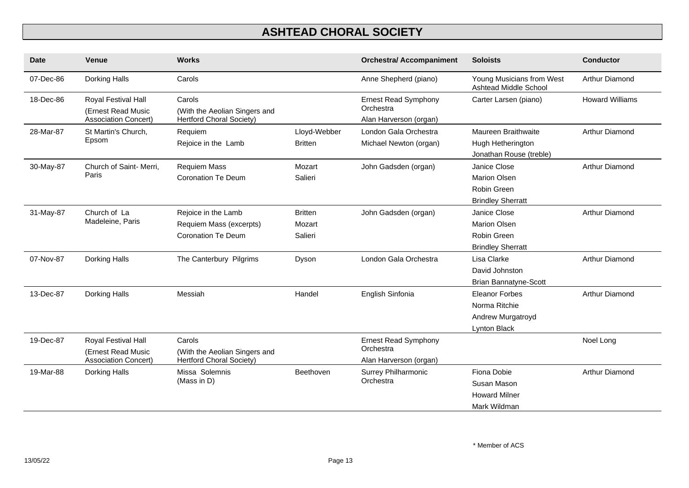| <b>Date</b> | <b>Venue</b>                                                             | <b>Works</b>                                                                |                                     | <b>Orchestra/ Accompaniment</b>                                    | <b>Soloists</b>                                                                | <b>Conductor</b>       |
|-------------|--------------------------------------------------------------------------|-----------------------------------------------------------------------------|-------------------------------------|--------------------------------------------------------------------|--------------------------------------------------------------------------------|------------------------|
| 07-Dec-86   | Dorking Halls                                                            | Carols                                                                      |                                     | Anne Shepherd (piano)                                              | Young Musicians from West<br>Ashtead Middle School                             | Arthur Diamond         |
| 18-Dec-86   | Royal Festival Hall<br>(Ernest Read Music<br><b>Association Concert)</b> | Carols<br>(With the Aeolian Singers and<br><b>Hertford Choral Society)</b>  |                                     | <b>Ernest Read Symphony</b><br>Orchestra<br>Alan Harverson (organ) | Carter Larsen (piano)                                                          | <b>Howard Williams</b> |
| 28-Mar-87   | St Martin's Church,<br>Epsom                                             | Requiem<br>Rejoice in the Lamb                                              | Lloyd-Webber<br><b>Britten</b>      | London Gala Orchestra<br>Michael Newton (organ)                    | Maureen Braithwaite<br>Hugh Hetherington<br>Jonathan Rouse (treble)            | Arthur Diamond         |
| 30-May-87   | Church of Saint- Merri,<br>Paris                                         | Requiem Mass<br><b>Coronation Te Deum</b>                                   | Mozart<br>Salieri                   | John Gadsden (organ)                                               | Janice Close<br><b>Marion Olsen</b><br>Robin Green<br><b>Brindley Sherratt</b> | Arthur Diamond         |
| 31-May-87   | Church of La<br>Madeleine, Paris                                         | Rejoice in the Lamb<br>Requiem Mass (excerpts)<br><b>Coronation Te Deum</b> | <b>Britten</b><br>Mozart<br>Salieri | John Gadsden (organ)                                               | Janice Close<br><b>Marion Olsen</b><br>Robin Green<br><b>Brindley Sherratt</b> | Arthur Diamond         |
| 07-Nov-87   | Dorking Halls                                                            | The Canterbury Pilgrims                                                     | Dyson                               | London Gala Orchestra                                              | Lisa Clarke<br>David Johnston<br><b>Brian Bannatyne-Scott</b>                  | <b>Arthur Diamond</b>  |
| 13-Dec-87   | Dorking Halls                                                            | Messiah                                                                     | Handel                              | English Sinfonia                                                   | <b>Eleanor Forbes</b><br>Norma Ritchie<br>Andrew Murgatroyd<br>Lynton Black    | Arthur Diamond         |
| 19-Dec-87   | Royal Festival Hall<br>(Ernest Read Music<br><b>Association Concert)</b> | Carols<br>(With the Aeolian Singers and<br><b>Hertford Choral Society)</b>  |                                     | <b>Ernest Read Symphony</b><br>Orchestra<br>Alan Harverson (organ) |                                                                                | Noel Long              |
| 19-Mar-88   | Dorking Halls                                                            | Missa Solemnis<br>(Mass in D)                                               | Beethoven                           | Surrey Philharmonic<br>Orchestra                                   | Fiona Dobie<br>Susan Mason<br><b>Howard Milner</b><br>Mark Wildman             | Arthur Diamond         |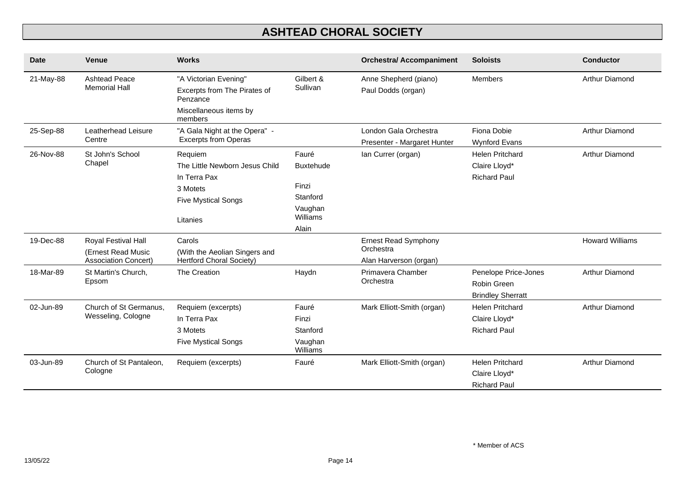| <b>Date</b> | <b>Venue</b>                                                             | <b>Works</b>                                                                                                    |                                                                                | <b>Orchestra/ Accompaniment</b>                                    | <b>Soloists</b>                                                 | <b>Conductor</b>       |
|-------------|--------------------------------------------------------------------------|-----------------------------------------------------------------------------------------------------------------|--------------------------------------------------------------------------------|--------------------------------------------------------------------|-----------------------------------------------------------------|------------------------|
| 21-May-88   | <b>Ashtead Peace</b><br><b>Memorial Hall</b>                             | "A Victorian Evening"<br>Excerpts from The Pirates of<br>Penzance<br>Miscellaneous items by                     | Gilbert &<br>Sullivan                                                          | Anne Shepherd (piano)<br>Paul Dodds (organ)                        | <b>Members</b>                                                  | <b>Arthur Diamond</b>  |
| 25-Sep-88   | Leatherhead Leisure<br>Centre                                            | members<br>"A Gala Night at the Opera" -<br><b>Excerpts from Operas</b>                                         |                                                                                | London Gala Orchestra<br>Presenter - Margaret Hunter               | Fiona Dobie<br><b>Wynford Evans</b>                             | Arthur Diamond         |
| 26-Nov-88   | St John's School<br>Chapel                                               | Requiem<br>The Little Newborn Jesus Child<br>In Terra Pax<br>3 Motets<br><b>Five Mystical Songs</b><br>Litanies | Fauré<br><b>Buxtehude</b><br>Finzi<br>Stanford<br>Vaughan<br>Williams<br>Alain | lan Currer (organ)                                                 | <b>Helen Pritchard</b><br>Claire Lloyd*<br><b>Richard Paul</b>  | Arthur Diamond         |
| 19-Dec-88   | Royal Festival Hall<br>(Ernest Read Music<br><b>Association Concert)</b> | Carols<br>(With the Aeolian Singers and<br><b>Hertford Choral Society)</b>                                      |                                                                                | <b>Ernest Read Symphony</b><br>Orchestra<br>Alan Harverson (organ) |                                                                 | <b>Howard Williams</b> |
| 18-Mar-89   | St Martin's Church,<br>Epsom                                             | The Creation                                                                                                    | Haydn                                                                          | Primavera Chamber<br>Orchestra                                     | Penelope Price-Jones<br>Robin Green<br><b>Brindley Sherratt</b> | Arthur Diamond         |
| 02-Jun-89   | Church of St Germanus,<br>Wesseling, Cologne                             | Requiem (excerpts)<br>In Terra Pax<br>3 Motets<br><b>Five Mystical Songs</b>                                    | Fauré<br>Finzi<br>Stanford<br>Vaughan<br>Williams                              | Mark Elliott-Smith (organ)                                         | <b>Helen Pritchard</b><br>Claire Lloyd*<br><b>Richard Paul</b>  | Arthur Diamond         |
| 03-Jun-89   | Church of St Pantaleon,<br>Cologne                                       | Requiem (excerpts)                                                                                              | Fauré                                                                          | Mark Elliott-Smith (organ)                                         | <b>Helen Pritchard</b><br>Claire Lloyd*<br><b>Richard Paul</b>  | Arthur Diamond         |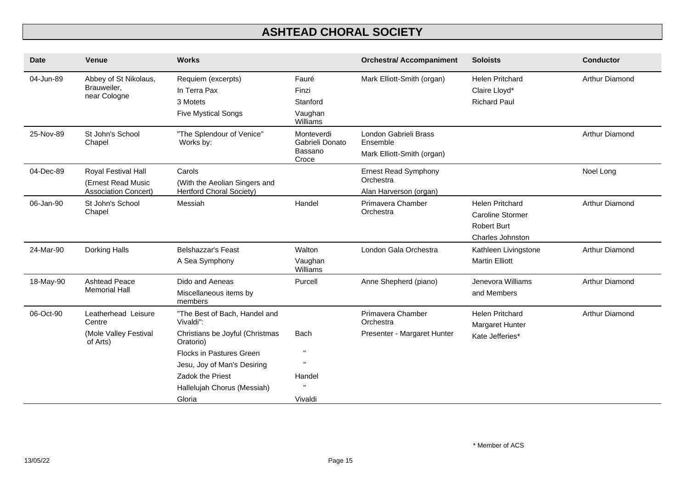| <b>Venue</b>                                                             | <b>Works</b>                                                                                                                                               |                                                   | <b>Orchestra/ Accompaniment</b>                                 | <b>Soloists</b>                                                                             | <b>Conductor</b>       |
|--------------------------------------------------------------------------|------------------------------------------------------------------------------------------------------------------------------------------------------------|---------------------------------------------------|-----------------------------------------------------------------|---------------------------------------------------------------------------------------------|------------------------|
| Abbey of St Nikolaus,<br>Brauweiler,<br>near Cologne                     | Requiem (excerpts)<br>In Terra Pax<br>3 Motets<br><b>Five Mystical Songs</b>                                                                               | Fauré<br>Finzi<br>Stanford<br>Vaughan<br>Williams | Mark Elliott-Smith (organ)                                      | <b>Helen Pritchard</b><br>Claire Lloyd*<br><b>Richard Paul</b>                              | Arthur Diamond         |
| St John's School<br>Chapel                                               | "The Splendour of Venice"<br>Works by:                                                                                                                     | Monteverdi<br>Gabrieli Donato<br>Bassano<br>Croce | London Gabrieli Brass<br>Ensemble<br>Mark Elliott-Smith (organ) |                                                                                             | Arthur Diamond         |
| Royal Festival Hall<br>(Ernest Read Music<br><b>Association Concert)</b> | Carols<br>(With the Aeolian Singers and<br><b>Hertford Choral Society)</b>                                                                                 |                                                   | Ernest Read Symphony<br>Orchestra<br>Alan Harverson (organ)     |                                                                                             | Noel Long              |
| St John's School<br>Chapel                                               | Messiah                                                                                                                                                    | Handel                                            | Primavera Chamber<br>Orchestra                                  | <b>Helen Pritchard</b><br><b>Caroline Stormer</b><br><b>Robert Burt</b><br>Charles Johnston | Arthur Diamond         |
| Dorking Halls                                                            | <b>Belshazzar's Feast</b><br>A Sea Symphony                                                                                                                | Walton<br>Vaughan<br>Williams                     | London Gala Orchestra                                           | Kathleen Livingstone<br><b>Martin Elliott</b>                                               | Arthur Diamond         |
| <b>Ashtead Peace</b><br><b>Memorial Hall</b>                             | Dido and Aeneas<br>Miscellaneous items by<br>members                                                                                                       | Purcell                                           | Anne Shepherd (piano)                                           | Jenevora Williams<br>and Members                                                            | Arthur Diamond         |
| Leatherhead Leisure<br>Centre                                            | "The Best of Bach, Handel and<br>Vivaldi":                                                                                                                 |                                                   | Primavera Chamber<br>Orchestra                                  | <b>Helen Pritchard</b>                                                                      | Arthur Diamond         |
| (Mole Valley Festival<br>of Arts)                                        | Christians be Joyful (Christmas<br>Oratorio)<br>Flocks in Pastures Green<br>Jesu, Joy of Man's Desiring<br>Zadok the Priest<br>Hallelujah Chorus (Messiah) | Bach<br>Handel                                    | Presenter - Margaret Hunter                                     | Kate Jefferies*                                                                             |                        |
|                                                                          |                                                                                                                                                            | Gloria                                            | Vivaldi                                                         |                                                                                             | <b>Margaret Hunter</b> |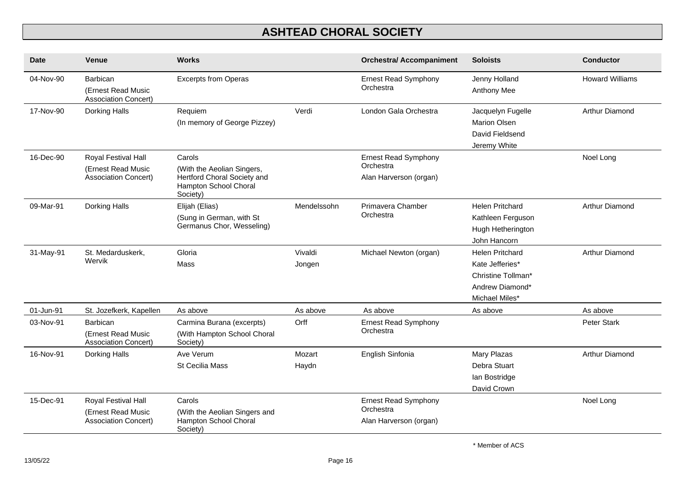| <b>Date</b> | <b>Venue</b>                                                             | <b>Works</b>                                                                                             |                   | <b>Orchestra/ Accompaniment</b>                                    | <b>Soloists</b>                                                                                      | <b>Conductor</b>       |
|-------------|--------------------------------------------------------------------------|----------------------------------------------------------------------------------------------------------|-------------------|--------------------------------------------------------------------|------------------------------------------------------------------------------------------------------|------------------------|
| 04-Nov-90   | Barbican<br>(Ernest Read Music<br><b>Association Concert)</b>            | <b>Excerpts from Operas</b>                                                                              |                   | <b>Ernest Read Symphony</b><br>Orchestra                           | Jenny Holland<br>Anthony Mee                                                                         | <b>Howard Williams</b> |
| 17-Nov-90   | Dorking Halls                                                            | Requiem<br>(In memory of George Pizzey)                                                                  | Verdi             | London Gala Orchestra                                              | Jacquelyn Fugelle<br><b>Marion Olsen</b><br>David Fieldsend<br>Jeremy White                          | Arthur Diamond         |
| 16-Dec-90   | Royal Festival Hall<br>(Ernest Read Music<br><b>Association Concert)</b> | Carols<br>(With the Aeolian Singers,<br>Hertford Choral Society and<br>Hampton School Choral<br>Society) |                   | <b>Ernest Read Symphony</b><br>Orchestra<br>Alan Harverson (organ) |                                                                                                      | Noel Long              |
| 09-Mar-91   | Dorking Halls                                                            | Elijah (Elias)<br>(Sung in German, with St<br>Germanus Chor, Wesseling)                                  | Mendelssohn       | Primavera Chamber<br>Orchestra                                     | <b>Helen Pritchard</b><br>Kathleen Ferguson<br>Hugh Hetherington<br>John Hancorn                     | Arthur Diamond         |
| 31-May-91   | St. Medarduskerk,<br>Wervik                                              | Gloria<br>Mass                                                                                           | Vivaldi<br>Jongen | Michael Newton (organ)                                             | <b>Helen Pritchard</b><br>Kate Jefferies*<br>Christine Tollman*<br>Andrew Diamond*<br>Michael Miles* | Arthur Diamond         |
| 01-Jun-91   | St. Jozefkerk, Kapellen                                                  | As above                                                                                                 | As above          | As above                                                           | As above                                                                                             | As above               |
| 03-Nov-91   | Barbican<br>(Ernest Read Music<br><b>Association Concert)</b>            | Carmina Burana (excerpts)<br>(With Hampton School Choral<br>Society)                                     | Orff              | <b>Ernest Read Symphony</b><br>Orchestra                           |                                                                                                      | <b>Peter Stark</b>     |
| 16-Nov-91   | Dorking Halls                                                            | Ave Verum<br><b>St Cecilia Mass</b>                                                                      | Mozart<br>Haydn   | English Sinfonia                                                   | Mary Plazas<br>Debra Stuart<br>lan Bostridge<br>David Crown                                          | Arthur Diamond         |
| 15-Dec-91   | Royal Festival Hall<br>(Ernest Read Music<br><b>Association Concert)</b> | Carols<br>(With the Aeolian Singers and<br>Hampton School Choral<br>Society)                             |                   | <b>Ernest Read Symphony</b><br>Orchestra<br>Alan Harverson (organ) |                                                                                                      | Noel Long              |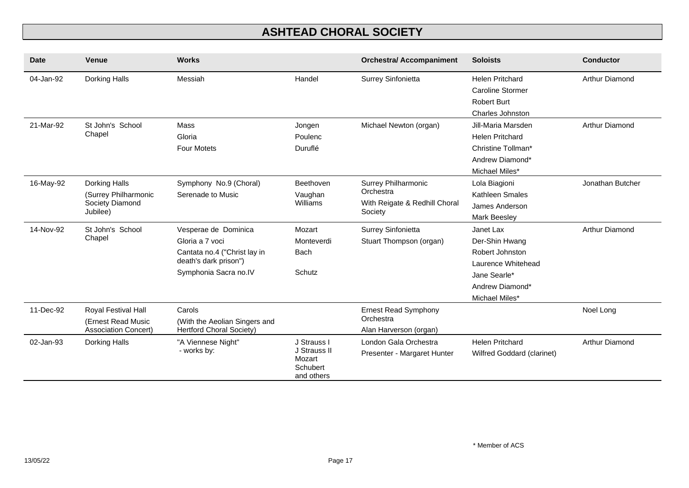| Date      | <b>Venue</b>                                                             | <b>Works</b>                                                                                                              |                                                                 | <b>Orchestra/ Accompaniment</b>                                              | <b>Soloists</b>                                                                                                           | <b>Conductor</b> |
|-----------|--------------------------------------------------------------------------|---------------------------------------------------------------------------------------------------------------------------|-----------------------------------------------------------------|------------------------------------------------------------------------------|---------------------------------------------------------------------------------------------------------------------------|------------------|
| 04-Jan-92 | Dorking Halls                                                            | Messiah                                                                                                                   | Handel                                                          | Surrey Sinfonietta                                                           | <b>Helen Pritchard</b><br><b>Caroline Stormer</b><br><b>Robert Burt</b><br><b>Charles Johnston</b>                        | Arthur Diamond   |
| 21-Mar-92 | St John's School<br>Chapel                                               | Mass<br>Gloria<br><b>Four Motets</b>                                                                                      | Jongen<br>Poulenc<br>Duruflé                                    | Michael Newton (organ)                                                       | Jill-Maria Marsden<br><b>Helen Pritchard</b><br>Christine Tollman*<br>Andrew Diamond*<br>Michael Miles*                   | Arthur Diamond   |
| 16-May-92 | Dorking Halls<br>(Surrey Philharmonic<br>Society Diamond<br>Jubilee)     | Symphony No.9 (Choral)<br>Serenade to Music                                                                               | Beethoven<br>Vaughan<br>Williams                                | Surrey Philharmonic<br>Orchestra<br>With Reigate & Redhill Choral<br>Society | Lola Biagioni<br>Kathleen Smales<br>James Anderson<br><b>Mark Beesley</b>                                                 | Jonathan Butcher |
| 14-Nov-92 | St John's School<br>Chapel                                               | Vesperae de Dominica<br>Gloria a 7 voci<br>Cantata no.4 ("Christ lay in<br>death's dark prison")<br>Symphonia Sacra no.IV | Mozart<br>Monteverdi<br><b>Bach</b><br>Schutz                   | Surrey Sinfonietta<br>Stuart Thompson (organ)                                | Janet Lax<br>Der-Shin Hwang<br>Robert Johnston<br>Laurence Whitehead<br>Jane Searle*<br>Andrew Diamond*<br>Michael Miles* | Arthur Diamond   |
| 11-Dec-92 | Royal Festival Hall<br>(Ernest Read Music<br><b>Association Concert)</b> | Carols<br>(With the Aeolian Singers and<br><b>Hertford Choral Society)</b>                                                |                                                                 | <b>Ernest Read Symphony</b><br>Orchestra<br>Alan Harverson (organ)           |                                                                                                                           | Noel Long        |
| 02-Jan-93 | Dorking Halls                                                            | "A Viennese Night"<br>- works by:                                                                                         | J Strauss I<br>J Strauss II<br>Mozart<br>Schubert<br>and others | London Gala Orchestra<br>Presenter - Margaret Hunter                         | <b>Helen Pritchard</b><br>Wilfred Goddard (clarinet)                                                                      | Arthur Diamond   |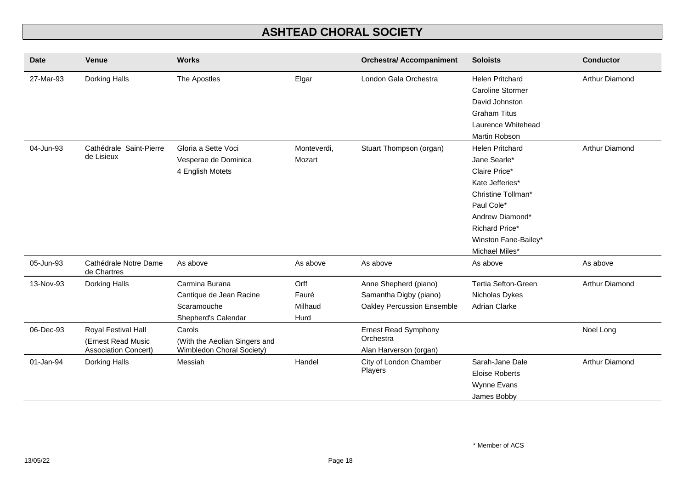| <b>Date</b> | <b>Venue</b>                         | <b>Works</b>                  |             | <b>Orchestra/ Accompaniment</b> | <b>Soloists</b>            | <b>Conductor</b> |
|-------------|--------------------------------------|-------------------------------|-------------|---------------------------------|----------------------------|------------------|
| 27-Mar-93   | Dorking Halls                        | The Apostles                  | Elgar       | London Gala Orchestra           | <b>Helen Pritchard</b>     | Arthur Diamond   |
|             |                                      |                               |             |                                 | <b>Caroline Stormer</b>    |                  |
|             |                                      |                               |             |                                 | David Johnston             |                  |
|             |                                      |                               |             |                                 | <b>Graham Titus</b>        |                  |
|             |                                      |                               |             |                                 | Laurence Whitehead         |                  |
|             |                                      |                               |             |                                 | Martin Robson              |                  |
| 04-Jun-93   | Cathédrale Saint-Pierre              | Gloria a Sette Voci           | Monteverdi. | Stuart Thompson (organ)         | <b>Helen Pritchard</b>     | Arthur Diamond   |
|             | de Lisieux                           | Vesperae de Dominica          | Mozart      |                                 | Jane Searle*               |                  |
|             |                                      | 4 English Motets              |             |                                 | Claire Price*              |                  |
|             |                                      |                               |             |                                 | Kate Jefferies*            |                  |
|             |                                      |                               |             |                                 | Christine Tollman*         |                  |
|             |                                      |                               |             |                                 | Paul Cole*                 |                  |
|             |                                      |                               |             |                                 | Andrew Diamond*            |                  |
|             |                                      |                               |             |                                 | Richard Price*             |                  |
|             |                                      |                               |             |                                 | Winston Fane-Bailey*       |                  |
|             |                                      |                               |             |                                 | Michael Miles*             |                  |
| 05-Jun-93   | Cathédrale Notre Dame<br>de Chartres | As above                      | As above    | As above                        | As above                   | As above         |
| 13-Nov-93   | Dorking Halls                        | Carmina Burana                | Orff        | Anne Shepherd (piano)           | <b>Tertia Sefton-Green</b> | Arthur Diamond   |
|             |                                      | Cantique de Jean Racine       | Fauré       | Samantha Digby (piano)          | Nicholas Dykes             |                  |
|             |                                      | Scaramouche                   | Milhaud     | Oakley Percussion Ensemble      | <b>Adrian Clarke</b>       |                  |
|             |                                      | Shepherd's Calendar           | Hurd        |                                 |                            |                  |
| 06-Dec-93   | Royal Festival Hall                  | Carols                        |             | <b>Ernest Read Symphony</b>     |                            | Noel Long        |
|             | (Ernest Read Music                   | (With the Aeolian Singers and |             | Orchestra                       |                            |                  |
|             | <b>Association Concert)</b>          | Wimbledon Choral Society)     |             | Alan Harverson (organ)          |                            |                  |
| 01-Jan-94   | Dorking Halls                        | Messiah                       | Handel      | City of London Chamber          | Sarah-Jane Dale            | Arthur Diamond   |
|             |                                      |                               |             | Players                         | <b>Eloise Roberts</b>      |                  |
|             |                                      |                               |             |                                 | Wynne Evans                |                  |
|             |                                      |                               |             |                                 | James Bobby                |                  |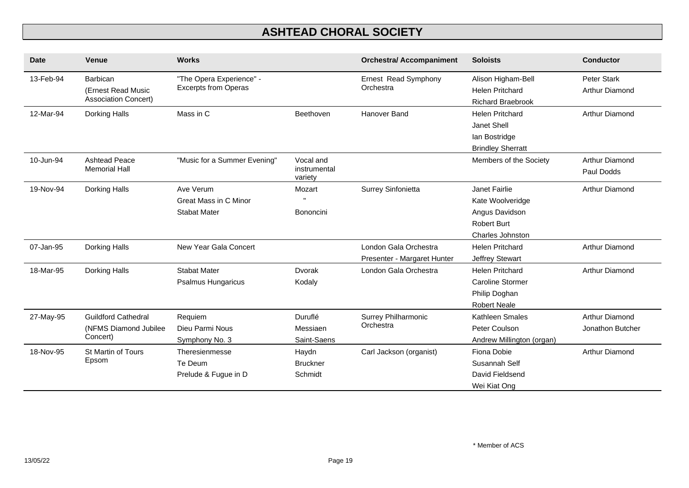| <b>Date</b> | <b>Venue</b>                                      | <b>Works</b>                                            |                                      | <b>Orchestra/ Accompaniment</b>   | <b>Soloists</b>                                    | <b>Conductor</b>             |
|-------------|---------------------------------------------------|---------------------------------------------------------|--------------------------------------|-----------------------------------|----------------------------------------------------|------------------------------|
| 13-Feb-94   | Barbican                                          | "The Opera Experience" -<br><b>Excerpts from Operas</b> |                                      | Ernest Read Symphony<br>Orchestra | Alison Higham-Bell                                 | <b>Peter Stark</b>           |
|             | (Ernest Read Music<br><b>Association Concert)</b> |                                                         |                                      |                                   | <b>Helen Pritchard</b><br><b>Richard Braebrook</b> | <b>Arthur Diamond</b>        |
| 12-Mar-94   | Dorking Halls                                     | Mass in C                                               | Beethoven                            | Hanover Band                      | <b>Helen Pritchard</b>                             | Arthur Diamond               |
|             |                                                   |                                                         |                                      |                                   | Janet Shell                                        |                              |
|             |                                                   |                                                         |                                      |                                   | lan Bostridge                                      |                              |
|             |                                                   |                                                         |                                      |                                   | <b>Brindley Sherratt</b>                           |                              |
| 10-Jun-94   | <b>Ashtead Peace</b><br><b>Memorial Hall</b>      | "Music for a Summer Evening"                            | Vocal and<br>instrumental<br>variety |                                   | Members of the Society                             | Arthur Diamond<br>Paul Dodds |
| 19-Nov-94   | Dorking Halls                                     | Ave Verum                                               | Mozart                               | Surrey Sinfonietta                | Janet Fairlie                                      | Arthur Diamond               |
|             |                                                   | <b>Great Mass in C Minor</b>                            |                                      |                                   | Kate Woolveridge                                   |                              |
|             |                                                   | <b>Stabat Mater</b>                                     | Bononcini                            |                                   | Angus Davidson                                     |                              |
|             |                                                   |                                                         |                                      |                                   | <b>Robert Burt</b>                                 |                              |
|             |                                                   |                                                         |                                      |                                   | <b>Charles Johnston</b>                            |                              |
| 07-Jan-95   | Dorking Halls                                     | New Year Gala Concert                                   |                                      | London Gala Orchestra             | <b>Helen Pritchard</b>                             | Arthur Diamond               |
|             |                                                   |                                                         |                                      | Presenter - Margaret Hunter       | Jeffrey Stewart                                    |                              |
| 18-Mar-95   | Dorking Halls                                     | <b>Stabat Mater</b>                                     | Dvorak                               | London Gala Orchestra             | <b>Helen Pritchard</b>                             | Arthur Diamond               |
|             |                                                   | <b>Psalmus Hungaricus</b>                               | Kodaly                               |                                   | <b>Caroline Stormer</b>                            |                              |
|             |                                                   |                                                         |                                      |                                   | Philip Doghan                                      |                              |
|             |                                                   |                                                         |                                      |                                   | <b>Robert Neale</b>                                |                              |
| 27-May-95   | <b>Guildford Cathedral</b>                        | Requiem                                                 | Duruflé                              | Surrey Philharmonic               | Kathleen Smales                                    | Arthur Diamond               |
|             | (NFMS Diamond Jubilee                             | Dieu Parmi Nous                                         | Messiaen                             | Orchestra                         | Peter Coulson                                      | Jonathon Butcher             |
|             | Concert)                                          | Symphony No. 3                                          | Saint-Saens                          |                                   | Andrew Millington (organ)                          |                              |
| 18-Nov-95   | St Martin of Tours                                | Theresienmesse                                          | Haydn                                | Carl Jackson (organist)           | Fiona Dobie                                        | <b>Arthur Diamond</b>        |
| Epsom       |                                                   | Te Deum                                                 | <b>Bruckner</b>                      |                                   | Susannah Self                                      |                              |
|             |                                                   | Prelude & Fugue in D                                    | Schmidt                              |                                   | David Fieldsend                                    |                              |
|             |                                                   |                                                         |                                      |                                   | Wei Kiat Ong                                       |                              |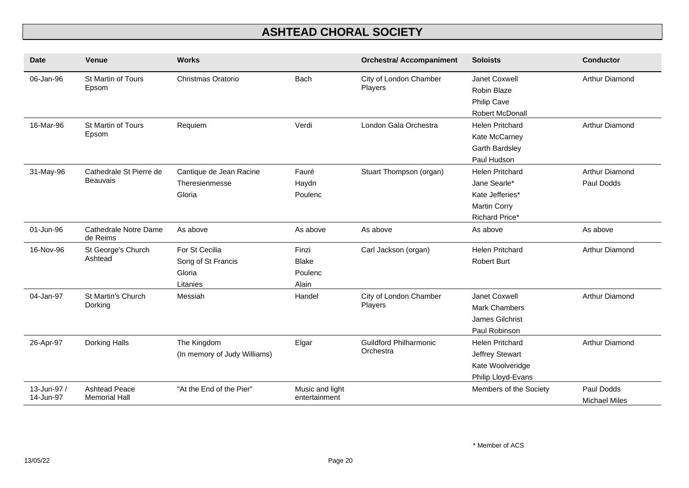| <b>Date</b>              | <b>Venue</b>                                 | <b>Works</b>                                               |                                           | <b>Orchestra/ Accompaniment</b>            | <b>Soloists</b>                                                                                    | <b>Conductor</b>                   |
|--------------------------|----------------------------------------------|------------------------------------------------------------|-------------------------------------------|--------------------------------------------|----------------------------------------------------------------------------------------------------|------------------------------------|
| 06-Jan-96                | St Martin of Tours<br>Epsom                  | Christmas Oratorio                                         | <b>Bach</b>                               | City of London Chamber<br>Players          | Janet Coxwell<br>Robin Blaze<br>Philip Cave<br>Robert McDonall                                     | Arthur Diamond                     |
| 16-Mar-96                | St Martin of Tours<br>Epsom                  | Requiem                                                    | Verdi                                     | London Gala Orchestra                      | <b>Helen Pritchard</b><br>Kate McCarney<br><b>Garth Bardsley</b><br>Paul Hudson                    | Arthur Diamond                     |
| 31-May-96                | Cathedrale St Pierre de<br><b>Beauvais</b>   | Cantique de Jean Racine<br>Theresienmesse<br>Gloria        | Fauré<br>Haydn<br>Poulenc                 | Stuart Thompson (organ)                    | <b>Helen Pritchard</b><br>Jane Searle*<br>Kate Jefferies*<br><b>Martin Corry</b><br>Richard Price* | Arthur Diamond<br>Paul Dodds       |
| 01-Jun-96                | Cathedrale Notre Dame<br>de Reims            | As above                                                   | As above                                  | As above                                   | As above                                                                                           | As above                           |
| 16-Nov-96                | St George's Church<br>Ashtead                | For St Cecilia<br>Song of St Francis<br>Gloria<br>Litanies | Finzi<br><b>Blake</b><br>Poulenc<br>Alain | Carl Jackson (organ)                       | <b>Helen Pritchard</b><br><b>Robert Burt</b>                                                       | Arthur Diamond                     |
| 04-Jan-97                | St Martin's Church<br>Dorking                | Messiah                                                    | Handel                                    | City of London Chamber<br>Players          | Janet Coxwell<br><b>Mark Chambers</b><br>James Gilchrist<br>Paul Robinson                          | Arthur Diamond                     |
| 26-Apr-97                | Dorking Halls                                | The Kingdom<br>(In memory of Judy Williams)                | Elgar                                     | <b>Guildford Philharmonic</b><br>Orchestra | <b>Helen Pritchard</b><br><b>Jeffrey Stewart</b><br>Kate Woolveridge<br>Philip Lloyd-Evans         | Arthur Diamond                     |
| 13-Jun-97 /<br>14-Jun-97 | <b>Ashtead Peace</b><br><b>Memorial Hall</b> | "At the End of the Pier"                                   | Music and light<br>entertainment          |                                            | Members of the Society                                                                             | Paul Dodds<br><b>Michael Miles</b> |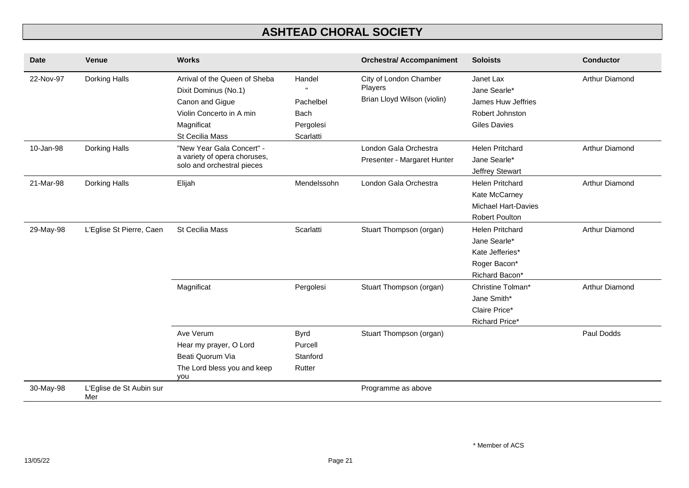| <b>Date</b> | <b>Venue</b>                    | <b>Works</b>                                                                                                       |                                              | <b>Orchestra/ Accompaniment</b>                                  | <b>Soloists</b>                                                                                | <b>Conductor</b>      |
|-------------|---------------------------------|--------------------------------------------------------------------------------------------------------------------|----------------------------------------------|------------------------------------------------------------------|------------------------------------------------------------------------------------------------|-----------------------|
| 22-Nov-97   | Dorking Halls                   | Arrival of the Queen of Sheba<br>Dixit Dominus (No.1)<br>Canon and Gigue<br>Violin Concerto in A min<br>Magnificat | Handel<br>Pachelbel<br>Bach<br>Pergolesi     | City of London Chamber<br>Players<br>Brian Lloyd Wilson (violin) | Janet Lax<br>Jane Searle*<br>James Huw Jeffries<br>Robert Johnston<br><b>Giles Davies</b>      | Arthur Diamond        |
| 10-Jan-98   | Dorking Halls                   | St Cecilia Mass<br>"New Year Gala Concert" -<br>a variety of opera choruses,<br>solo and orchestral pieces         | Scarlatti                                    | London Gala Orchestra<br>Presenter - Margaret Hunter             | <b>Helen Pritchard</b><br>Jane Searle*<br>Jeffrey Stewart                                      | Arthur Diamond        |
| 21-Mar-98   | Dorking Halls                   | Elijah                                                                                                             | Mendelssohn                                  | London Gala Orchestra                                            | <b>Helen Pritchard</b><br>Kate McCarney<br><b>Michael Hart-Davies</b><br><b>Robert Poulton</b> | Arthur Diamond        |
| 29-May-98   | L'Eglise St Pierre, Caen        | <b>St Cecilia Mass</b>                                                                                             | Scarlatti                                    | Stuart Thompson (organ)                                          | <b>Helen Pritchard</b><br>Jane Searle*<br>Kate Jefferies*<br>Roger Bacon*<br>Richard Bacon*    | Arthur Diamond        |
|             |                                 | Magnificat                                                                                                         | Pergolesi                                    | Stuart Thompson (organ)                                          | Christine Tolman*<br>Jane Smith*<br>Claire Price*<br><b>Richard Price*</b>                     | <b>Arthur Diamond</b> |
|             |                                 | Ave Verum<br>Hear my prayer, O Lord<br>Beati Quorum Via<br>The Lord bless you and keep<br>you                      | <b>Byrd</b><br>Purcell<br>Stanford<br>Rutter | Stuart Thompson (organ)                                          |                                                                                                | Paul Dodds            |
| 30-May-98   | L'Eglise de St Aubin sur<br>Mer |                                                                                                                    |                                              | Programme as above                                               |                                                                                                |                       |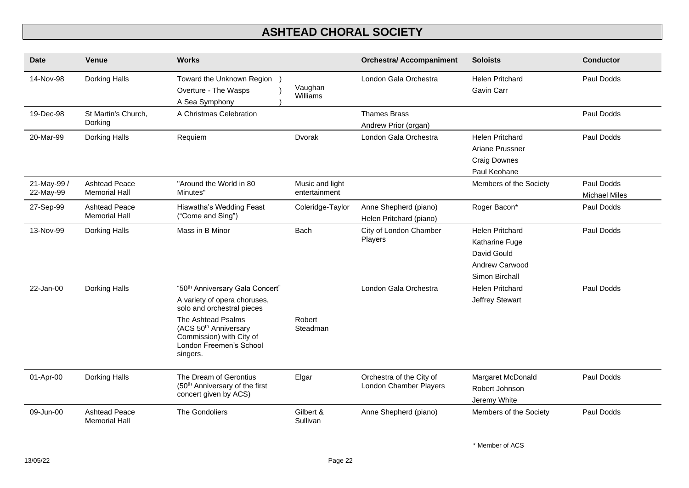| <b>Date</b>              | <b>Venue</b>                                 | <b>Works</b>                                                                                                                                                                                                                            |                                  | <b>Orchestra/ Accompaniment</b>                    | <b>Soloists</b>                                                                             | <b>Conductor</b>                   |
|--------------------------|----------------------------------------------|-----------------------------------------------------------------------------------------------------------------------------------------------------------------------------------------------------------------------------------------|----------------------------------|----------------------------------------------------|---------------------------------------------------------------------------------------------|------------------------------------|
| 14-Nov-98                | Dorking Halls                                | Toward the Unknown Region<br>Overture - The Wasps<br>A Sea Symphony                                                                                                                                                                     | Vaughan<br>Williams              | London Gala Orchestra                              | <b>Helen Pritchard</b><br>Gavin Carr                                                        | Paul Dodds                         |
| 19-Dec-98                | St Martin's Church,<br>Dorking               | A Christmas Celebration                                                                                                                                                                                                                 |                                  | <b>Thames Brass</b><br>Andrew Prior (organ)        |                                                                                             | Paul Dodds                         |
| 20-Mar-99                | Dorking Halls                                | Requiem                                                                                                                                                                                                                                 | Dvorak                           | London Gala Orchestra                              | <b>Helen Pritchard</b><br>Ariane Prussner<br><b>Craig Downes</b><br>Paul Keohane            | Paul Dodds                         |
| 21-May-99 /<br>22-May-99 | <b>Ashtead Peace</b><br><b>Memorial Hall</b> | "Around the World in 80<br>Minutes"                                                                                                                                                                                                     | Music and light<br>entertainment |                                                    | Members of the Society                                                                      | Paul Dodds<br><b>Michael Miles</b> |
| 27-Sep-99                | <b>Ashtead Peace</b><br><b>Memorial Hall</b> | Hiawatha's Wedding Feast<br>("Come and Sing")                                                                                                                                                                                           | Coleridge-Taylor                 | Anne Shepherd (piano)<br>Helen Pritchard (piano)   | Roger Bacon*                                                                                | Paul Dodds                         |
| 13-Nov-99                | Dorking Halls                                | Mass in B Minor                                                                                                                                                                                                                         | <b>Bach</b>                      | City of London Chamber<br>Players                  | <b>Helen Pritchard</b><br>Katharine Fuge<br>David Gould<br>Andrew Carwood<br>Simon Birchall | Paul Dodds                         |
| 22-Jan-00                | Dorking Halls                                | "50 <sup>th</sup> Anniversary Gala Concert"<br>A variety of opera choruses,<br>solo and orchestral pieces<br>The Ashtead Psalms<br>(ACS 50 <sup>th</sup> Anniversary<br>Commission) with City of<br>London Freemen's School<br>singers. | Robert<br>Steadman               | London Gala Orchestra                              | <b>Helen Pritchard</b><br>Jeffrey Stewart                                                   | Paul Dodds                         |
| 01-Apr-00                | Dorking Halls                                | The Dream of Gerontius<br>(50 <sup>th</sup> Anniversary of the first<br>concert given by ACS)                                                                                                                                           | Elgar                            | Orchestra of the City of<br>London Chamber Players | Margaret McDonald<br>Robert Johnson<br>Jeremy White                                         | Paul Dodds                         |
| 09-Jun-00                | <b>Ashtead Peace</b><br><b>Memorial Hall</b> | The Gondoliers                                                                                                                                                                                                                          | Gilbert &<br>Sullivan            | Anne Shepherd (piano)                              | Members of the Society                                                                      | Paul Dodds                         |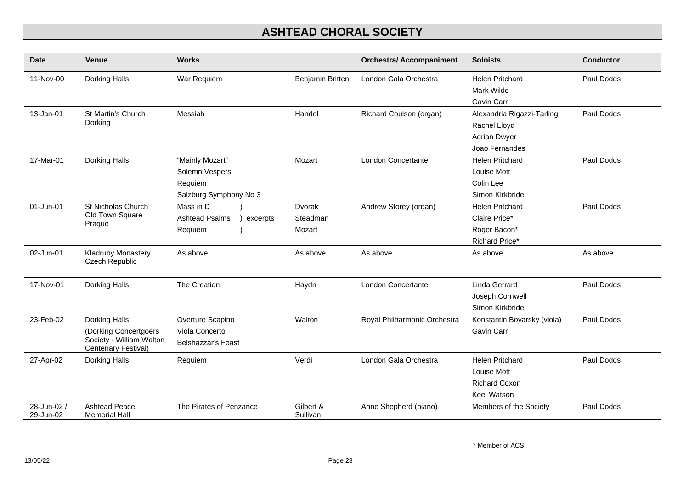| <b>Date</b>              | Venue                                                                                     | <b>Works</b>                                                           |                              | <b>Orchestra/ Accompaniment</b> | <b>Soloists</b>                                                                     | <b>Conductor</b> |
|--------------------------|-------------------------------------------------------------------------------------------|------------------------------------------------------------------------|------------------------------|---------------------------------|-------------------------------------------------------------------------------------|------------------|
| 11-Nov-00                | Dorking Halls                                                                             | War Requiem                                                            | Benjamin Britten             | London Gala Orchestra           | <b>Helen Pritchard</b><br>Mark Wilde<br>Gavin Carr                                  | Paul Dodds       |
| 13-Jan-01                | St Martin's Church<br>Dorking                                                             | Messiah                                                                | Handel                       | Richard Coulson (organ)         | Alexandria Rigazzi-Tarling<br>Rachel Lloyd<br><b>Adrian Dwyer</b><br>Joao Fernandes | Paul Dodds       |
| 17-Mar-01                | Dorking Halls                                                                             | "Mainly Mozart"<br>Solemn Vespers<br>Requiem<br>Salzburg Symphony No 3 | Mozart                       | <b>London Concertante</b>       | <b>Helen Pritchard</b><br>Louise Mott<br>Colin Lee<br>Simon Kirkbride               | Paul Dodds       |
| 01-Jun-01                | St Nicholas Church<br>Old Town Square<br>Prague                                           | Mass in D<br><b>Ashtead Psalms</b><br>excerpts<br>Requiem              | Dvorak<br>Steadman<br>Mozart | Andrew Storey (organ)           | <b>Helen Pritchard</b><br>Claire Price*<br>Roger Bacon*<br><b>Richard Price*</b>    | Paul Dodds       |
| 02-Jun-01                | Kladruby Monastery<br><b>Czech Republic</b>                                               | As above                                                               | As above                     | As above                        | As above                                                                            | As above         |
| 17-Nov-01                | Dorking Halls                                                                             | The Creation                                                           | Haydn                        | London Concertante              | Linda Gerrard<br>Joseph Cornwell<br>Simon Kirkbride                                 | Paul Dodds       |
| 23-Feb-02                | Dorking Halls<br>(Dorking Concertgoers<br>Society - William Walton<br>Centenary Festival) | Overture Scapino<br>Viola Concerto<br>Belshazzar's Feast               | Walton                       | Royal Philharmonic Orchestra    | Konstantin Boyarsky (viola)<br>Gavin Carr                                           | Paul Dodds       |
| 27-Apr-02                | Dorking Halls                                                                             | Requiem                                                                | Verdi                        | London Gala Orchestra           | <b>Helen Pritchard</b><br>Louise Mott<br><b>Richard Coxon</b><br><b>Keel Watson</b> | Paul Dodds       |
| 28-Jun-02 /<br>29-Jun-02 | <b>Ashtead Peace</b><br><b>Memorial Hall</b>                                              | The Pirates of Penzance                                                | Gilbert &<br>Sullivan        | Anne Shepherd (piano)           | Members of the Society                                                              | Paul Dodds       |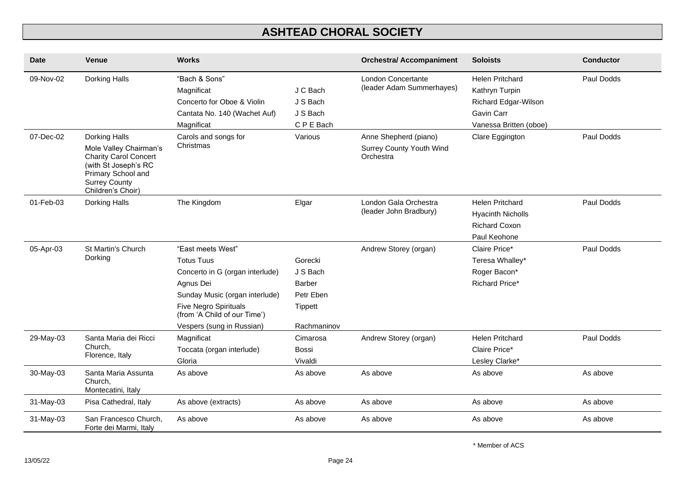| <b>Date</b>  | <b>Venue</b>                                                                                                                                                       | <b>Works</b>                                                                                                                                                                                                          |                                                                             | <b>Orchestra/ Accompaniment</b>                                | <b>Soloists</b>                                                                                          | <b>Conductor</b> |
|--------------|--------------------------------------------------------------------------------------------------------------------------------------------------------------------|-----------------------------------------------------------------------------------------------------------------------------------------------------------------------------------------------------------------------|-----------------------------------------------------------------------------|----------------------------------------------------------------|----------------------------------------------------------------------------------------------------------|------------------|
| 09-Nov-02    | Dorking Halls                                                                                                                                                      | "Bach & Sons"<br>Magnificat<br>Concerto for Oboe & Violin<br>Cantata No. 140 (Wachet Auf)<br>Magnificat                                                                                                               | J C Bach<br>J S Bach<br>J S Bach<br>C P E Bach                              | London Concertante<br>(leader Adam Summerhayes)                | <b>Helen Pritchard</b><br>Kathryn Turpin<br>Richard Edgar-Wilson<br>Gavin Carr<br>Vanessa Britten (oboe) | Paul Dodds       |
| 07-Dec-02    | Dorking Halls<br>Mole Valley Chairman's<br><b>Charity Carol Concert</b><br>(with St Joseph's RC<br>Primary School and<br><b>Surrey County</b><br>Children's Choir) | Carols and songs for<br>Christmas                                                                                                                                                                                     | Various                                                                     | Anne Shepherd (piano)<br>Surrey County Youth Wind<br>Orchestra | Clare Eggington                                                                                          | Paul Dodds       |
| $01$ -Feb-03 | Dorking Halls                                                                                                                                                      | The Kingdom                                                                                                                                                                                                           | Elgar                                                                       | London Gala Orchestra<br>(leader John Bradbury)                | <b>Helen Pritchard</b><br><b>Hyacinth Nicholls</b><br><b>Richard Coxon</b><br>Paul Keohone               | Paul Dodds       |
| 05-Apr-03    | St Martin's Church<br>Dorking                                                                                                                                      | "East meets West"<br><b>Totus Tuus</b><br>Concerto in G (organ interlude)<br>Agnus Dei<br>Sunday Music (organ interlude)<br><b>Five Negro Spirituals</b><br>(from 'A Child of our Time')<br>Vespers (sung in Russian) | Gorecki<br>J S Bach<br>Barber<br>Petr Eben<br><b>Tippett</b><br>Rachmaninov | Andrew Storey (organ)                                          | Claire Price*<br>Teresa Whalley*<br>Roger Bacon*<br><b>Richard Price*</b>                                | Paul Dodds       |
| 29-May-03    | Santa Maria dei Ricci<br>Church,<br>Florence, Italy                                                                                                                | Magnificat<br>Toccata (organ interlude)<br>Gloria                                                                                                                                                                     | Cimarosa<br><b>Bossi</b><br>Vivaldi                                         | Andrew Storey (organ)                                          | <b>Helen Pritchard</b><br>Claire Price*<br>Lesley Clarke*                                                | Paul Dodds       |
| 30-May-03    | Santa Maria Assunta<br>Church.<br>Montecatini, Italy                                                                                                               | As above                                                                                                                                                                                                              | As above                                                                    | As above                                                       | As above                                                                                                 | As above         |
| 31-May-03    | Pisa Cathedral, Italy                                                                                                                                              | As above (extracts)                                                                                                                                                                                                   | As above                                                                    | As above                                                       | As above                                                                                                 | As above         |
| 31-May-03    | San Francesco Church,<br>Forte dei Marmi, Italy                                                                                                                    | As above                                                                                                                                                                                                              | As above                                                                    | As above                                                       | As above                                                                                                 | As above         |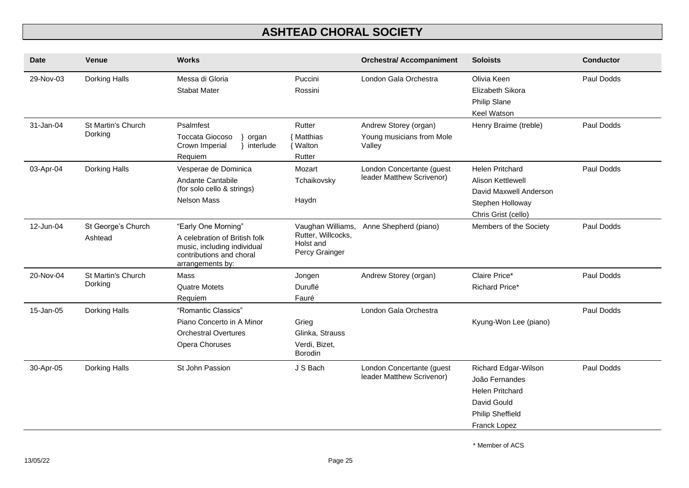| <b>Date</b> | Venue                         | <b>Works</b>                                                                                                                        |                                                                        | <b>Orchestra/ Accompaniment</b>                              | <b>Soloists</b>                                                                                                            | <b>Conductor</b> |
|-------------|-------------------------------|-------------------------------------------------------------------------------------------------------------------------------------|------------------------------------------------------------------------|--------------------------------------------------------------|----------------------------------------------------------------------------------------------------------------------------|------------------|
| 29-Nov-03   | Dorking Halls                 | Messa di Gloria<br><b>Stabat Mater</b>                                                                                              | Puccini<br>Rossini                                                     | London Gala Orchestra                                        | Olivia Keen<br>Elizabeth Sikora<br>Philip Slane<br><b>Keel Watson</b>                                                      | Paul Dodds       |
| 31-Jan-04   | St Martin's Church<br>Dorking | Psalmfest<br><b>Toccata Giocoso</b><br>organ<br>Crown Imperial<br>interlude<br>Requiem                                              | Rutter<br>{ Matthias<br><b>Walton</b><br>Rutter                        | Andrew Storey (organ)<br>Young musicians from Mole<br>Valley | Henry Braime (treble)                                                                                                      | Paul Dodds       |
| 03-Apr-04   | Dorking Halls                 | Vesperae de Dominica<br>Andante Cantabile<br>(for solo cello & strings)<br><b>Nelson Mass</b>                                       | Mozart<br>Tchaikovsky<br>Haydn                                         | London Concertante (guest<br>leader Matthew Scrivenor)       | <b>Helen Pritchard</b><br><b>Alison Kettlewell</b><br>David Maxwell Anderson<br>Stephen Holloway<br>Chris Grist (cello)    | Paul Dodds       |
| 12-Jun-04   | St George's Church<br>Ashtead | "Early One Morning"<br>A celebration of British folk<br>music, including individual<br>contributions and choral<br>arrangements by: | Vaughan Williams,<br>Rutter, Willcocks,<br>Holst and<br>Percy Grainger | Anne Shepherd (piano)                                        | Members of the Society                                                                                                     | Paul Dodds       |
| 20-Nov-04   | St Martin's Church<br>Dorking | Mass<br><b>Quatre Motets</b><br>Requiem                                                                                             | Jongen<br>Duruflé<br>Fauré                                             | Andrew Storey (organ)                                        | Claire Price*<br>Richard Price*                                                                                            | Paul Dodds       |
| 15-Jan-05   | Dorking Halls                 | "Romantic Classics"<br>Piano Concerto in A Minor<br><b>Orchestral Overtures</b><br>Opera Choruses                                   | Grieg<br>Glinka, Strauss<br>Verdi, Bizet,<br><b>Borodin</b>            | London Gala Orchestra                                        | Kyung-Won Lee (piano)                                                                                                      | Paul Dodds       |
| 30-Apr-05   | Dorking Halls                 | St John Passion                                                                                                                     | J S Bach                                                               | London Concertante (guest<br>leader Matthew Scrivenor)       | Richard Edgar-Wilson<br>João Fernandes<br><b>Helen Pritchard</b><br>David Gould<br><b>Philip Sheffield</b><br>Franck Lopez | Paul Dodds       |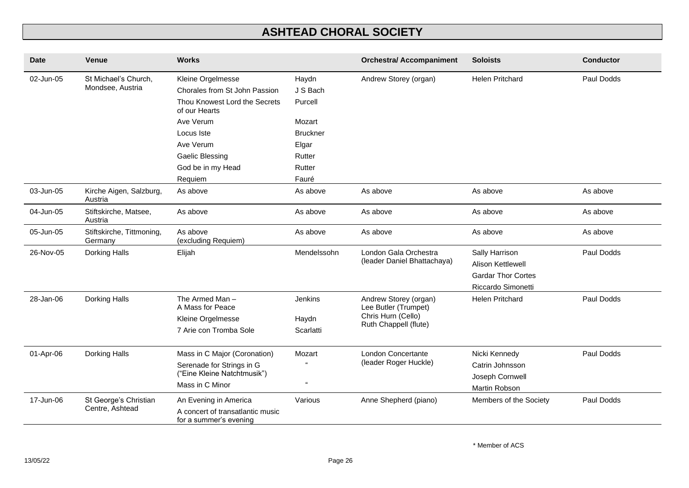| <b>Date</b>                       | <b>Venue</b>                         | <b>Works</b>                                               |                 | <b>Orchestra/ Accompaniment</b>               | <b>Soloists</b>           | <b>Conductor</b> |
|-----------------------------------|--------------------------------------|------------------------------------------------------------|-----------------|-----------------------------------------------|---------------------------|------------------|
| 02-Jun-05<br>St Michael's Church, |                                      | Kleine Orgelmesse                                          | Haydn           | Andrew Storey (organ)                         | <b>Helen Pritchard</b>    | Paul Dodds       |
|                                   | Mondsee, Austria                     | Chorales from St John Passion                              | J S Bach        |                                               |                           |                  |
|                                   |                                      | Thou Knowest Lord the Secrets<br>of our Hearts             | Purcell         |                                               |                           |                  |
|                                   |                                      | Ave Verum                                                  | Mozart          |                                               |                           |                  |
|                                   |                                      | Locus Iste                                                 | <b>Bruckner</b> |                                               |                           |                  |
|                                   |                                      | Ave Verum                                                  | Elgar           |                                               |                           |                  |
|                                   |                                      | <b>Gaelic Blessing</b>                                     | Rutter          |                                               |                           |                  |
|                                   |                                      | God be in my Head                                          | Rutter          |                                               |                           |                  |
|                                   |                                      | Requiem                                                    | Fauré           |                                               |                           |                  |
| 03-Jun-05                         | Kirche Aigen, Salzburg,<br>Austria   | As above                                                   | As above        | As above                                      | As above                  | As above         |
| 04-Jun-05                         | Stiftskirche, Matsee,<br>Austria     | As above                                                   | As above        | As above                                      | As above                  | As above         |
| 05-Jun-05                         | Stiftskirche, Tittmoning,<br>Germany | As above<br>(excluding Requiem)                            | As above        | As above                                      | As above                  | As above         |
| 26-Nov-05                         | Dorking Halls                        | Elijah                                                     | Mendelssohn     | London Gala Orchestra                         | Sally Harrison            | Paul Dodds       |
|                                   |                                      |                                                            |                 | (leader Daniel Bhattachaya)                   | Alison Kettlewell         |                  |
|                                   |                                      |                                                            |                 |                                               | <b>Gardar Thor Cortes</b> |                  |
|                                   |                                      |                                                            |                 |                                               | Riccardo Simonetti        |                  |
| 28-Jan-06                         | Dorking Halls                        | The Armed Man-<br>A Mass for Peace                         | Jenkins         | Andrew Storey (organ)<br>Lee Butler (Trumpet) | <b>Helen Pritchard</b>    | Paul Dodds       |
|                                   |                                      | Kleine Orgelmesse                                          | Haydn           | Chris Hurn (Cello)                            |                           |                  |
|                                   |                                      | 7 Arie con Tromba Sole                                     | Scarlatti       | Ruth Chappell (flute)                         |                           |                  |
| 01-Apr-06                         | Dorking Halls                        | Mass in C Major (Coronation)                               | Mozart          | London Concertante                            | Nicki Kennedy             | Paul Dodds       |
|                                   |                                      | Serenade for Strings in G                                  |                 | (leader Roger Huckle)                         | Catrin Johnsson           |                  |
|                                   |                                      | ("Eine Kleine Natchtmusik")                                | $\epsilon$      |                                               | Joseph Cornwell           |                  |
|                                   |                                      | Mass in C Minor                                            |                 |                                               | Martin Robson             |                  |
| 17-Jun-06                         | St George's Christian                | An Evening in America                                      | Various         | Anne Shepherd (piano)                         | Members of the Society    | Paul Dodds       |
|                                   | Centre, Ashtead                      | A concert of transatlantic music<br>for a summer's evening |                 |                                               |                           |                  |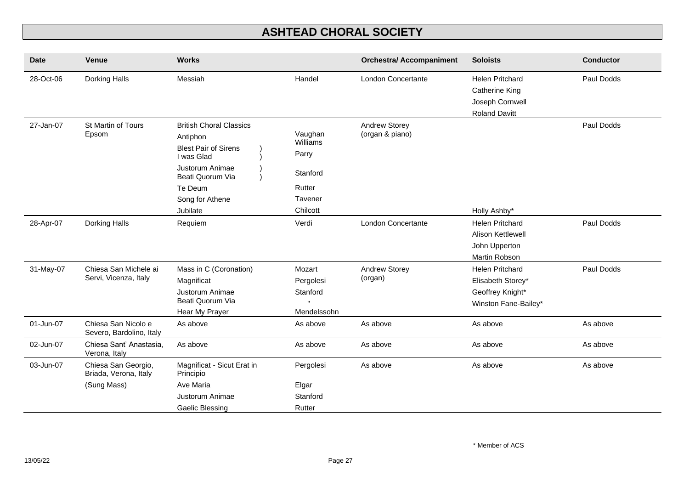| <b>Date</b> | <b>Venue</b>                                                | <b>Works</b>                                                                                                                                                             |                                                                           | <b>Orchestra/ Accompaniment</b>  | <b>Soloists</b>                                                                             | <b>Conductor</b> |
|-------------|-------------------------------------------------------------|--------------------------------------------------------------------------------------------------------------------------------------------------------------------------|---------------------------------------------------------------------------|----------------------------------|---------------------------------------------------------------------------------------------|------------------|
| 28-Oct-06   | Dorking Halls                                               | Messiah                                                                                                                                                                  | Handel                                                                    | <b>London Concertante</b>        | <b>Helen Pritchard</b><br><b>Catherine King</b><br>Joseph Cornwell<br><b>Roland Davitt</b>  | Paul Dodds       |
| 27-Jan-07   | St Martin of Tours<br>Epsom                                 | <b>British Choral Classics</b><br>Antiphon<br><b>Blest Pair of Sirens</b><br>I was Glad<br>Justorum Animae<br>Beati Quorum Via<br>Te Deum<br>Song for Athene<br>Jubilate | Vaughan<br>Williams<br>Parry<br>Stanford<br>Rutter<br>Tavener<br>Chilcott | Andrew Storey<br>(organ & piano) | Holly Ashby*                                                                                | Paul Dodds       |
| 28-Apr-07   | Dorking Halls                                               | Requiem                                                                                                                                                                  | Verdi                                                                     | <b>London Concertante</b>        | <b>Helen Pritchard</b><br><b>Alison Kettlewell</b><br>John Upperton<br><b>Martin Robson</b> | Paul Dodds       |
| 31-May-07   | Chiesa San Michele ai<br>Servi, Vicenza, Italy              | Mass in C (Coronation)<br>Magnificat<br>Justorum Animae<br>Beati Quorum Via<br>Hear My Prayer                                                                            | Mozart<br>Pergolesi<br>Stanford<br>Mendelssohn                            | <b>Andrew Storey</b><br>(organ)  | <b>Helen Pritchard</b><br>Elisabeth Storey*<br>Geoffrey Knight*<br>Winston Fane-Bailey*     | Paul Dodds       |
| 01-Jun-07   | Chiesa San Nicolo e<br>Severo, Bardolino, Italy             | As above                                                                                                                                                                 | As above                                                                  | As above                         | As above                                                                                    | As above         |
| 02-Jun-07   | Chiesa Sant' Anastasia,<br>Verona, Italy                    | As above                                                                                                                                                                 | As above                                                                  | As above                         | As above                                                                                    | As above         |
| 03-Jun-07   | Chiesa San Georgio,<br>Briada, Verona, Italy<br>(Sung Mass) | Magnificat - Sicut Erat in<br>Principio<br>Ave Maria<br>Justorum Animae                                                                                                  | Pergolesi<br>Elgar<br>Stanford                                            | As above                         | As above                                                                                    | As above         |
|             |                                                             | <b>Gaelic Blessing</b>                                                                                                                                                   | Rutter                                                                    |                                  |                                                                                             |                  |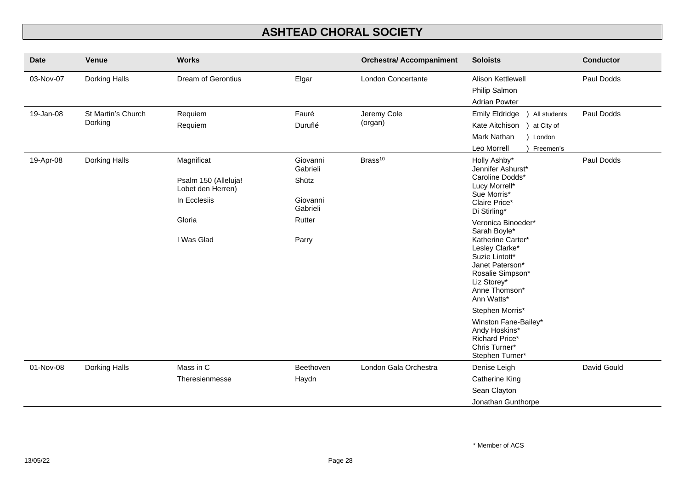| <b>Date</b> | <b>Venue</b>                  | <b>Works</b>                                                                                    |                                                                          | <b>Orchestra/ Accompaniment</b> | <b>Soloists</b>                                                                                                                                                                                                                                                                                                                                                                                                                    | <b>Conductor</b> |
|-------------|-------------------------------|-------------------------------------------------------------------------------------------------|--------------------------------------------------------------------------|---------------------------------|------------------------------------------------------------------------------------------------------------------------------------------------------------------------------------------------------------------------------------------------------------------------------------------------------------------------------------------------------------------------------------------------------------------------------------|------------------|
| 03-Nov-07   | Dorking Halls                 | <b>Dream of Gerontius</b>                                                                       | Elgar                                                                    | London Concertante              | Alison Kettlewell<br>Philip Salmon<br><b>Adrian Powter</b>                                                                                                                                                                                                                                                                                                                                                                         | Paul Dodds       |
| 19-Jan-08   | St Martin's Church<br>Dorking | Requiem<br>Requiem                                                                              | Fauré<br>Duruflé                                                         | Jeremy Cole<br>(organ)          | <b>Emily Eldridge</b><br>All students<br>Kate Aitchison<br>at City of<br>Mark Nathan<br>) London<br>Leo Morrell<br>Freemen's                                                                                                                                                                                                                                                                                                       | Paul Dodds       |
| 19-Apr-08   | Dorking Halls                 | Magnificat<br>Psalm 150 (Alleluja!<br>Lobet den Herren)<br>In Ecclesiis<br>Gloria<br>I Was Glad | Giovanni<br>Gabrieli<br>Shütz<br>Giovanni<br>Gabrieli<br>Rutter<br>Parry | Brass <sup>10</sup>             | Holly Ashby*<br>Jennifer Ashurst*<br>Caroline Dodds*<br>Lucy Morrell*<br>Sue Morris*<br>Claire Price*<br>Di Stirling*<br>Veronica Binoeder*<br>Sarah Boyle*<br>Katherine Carter*<br>Lesley Clarke*<br>Suzie Lintott*<br>Janet Paterson*<br>Rosalie Simpson*<br>Liz Storey*<br>Anne Thomson*<br>Ann Watts*<br>Stephen Morris*<br>Winston Fane-Bailey*<br>Andy Hoskins*<br><b>Richard Price*</b><br>Chris Turner*<br>Stephen Turner* | Paul Dodds       |
| 01-Nov-08   | Dorking Halls                 | Mass in C                                                                                       | Beethoven                                                                | London Gala Orchestra           | Denise Leigh                                                                                                                                                                                                                                                                                                                                                                                                                       | David Gould      |
|             |                               | Theresienmesse                                                                                  | Haydn                                                                    |                                 | <b>Catherine King</b>                                                                                                                                                                                                                                                                                                                                                                                                              |                  |
|             |                               |                                                                                                 |                                                                          |                                 | Sean Clayton<br>Jonathan Gunthorpe                                                                                                                                                                                                                                                                                                                                                                                                 |                  |
|             |                               |                                                                                                 |                                                                          |                                 |                                                                                                                                                                                                                                                                                                                                                                                                                                    |                  |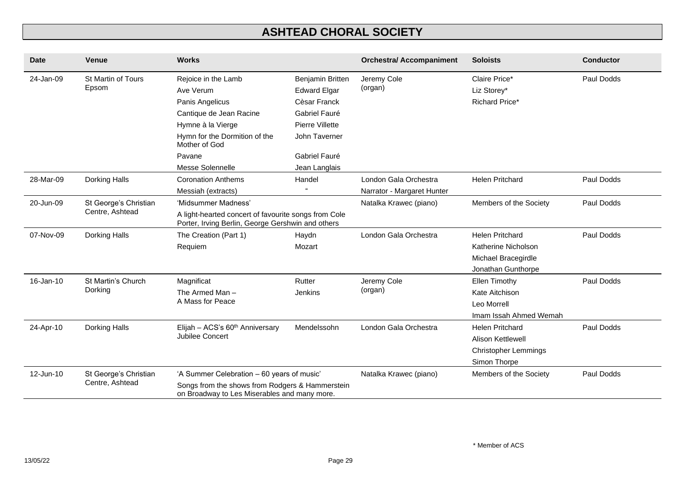| <b>Date</b> | <b>Venue</b>          | <b>Works</b>                                                                                              |                     | <b>Orchestra/ Accompaniment</b> | <b>Soloists</b>             | <b>Conductor</b> |
|-------------|-----------------------|-----------------------------------------------------------------------------------------------------------|---------------------|---------------------------------|-----------------------------|------------------|
| 24-Jan-09   | St Martin of Tours    | Rejoice in the Lamb                                                                                       | Benjamin Britten    | Jeremy Cole                     | Claire Price*               | Paul Dodds       |
|             | Epsom                 | Ave Verum                                                                                                 | <b>Edward Elgar</b> | (organ)                         | Liz Storey*                 |                  |
|             |                       | Panis Angelicus                                                                                           | Cèsar Franck        |                                 | Richard Price*              |                  |
|             |                       | Cantique de Jean Racine                                                                                   | Gabriel Fauré       |                                 |                             |                  |
|             |                       | Hymne à la Vierge                                                                                         | Pierre Villette     |                                 |                             |                  |
|             |                       | Hymn for the Dormition of the<br>Mother of God                                                            | John Taverner       |                                 |                             |                  |
|             |                       | Pavane                                                                                                    | Gabriel Fauré       |                                 |                             |                  |
|             |                       | Messe Solennelle                                                                                          | Jean Langlais       |                                 |                             |                  |
| 28-Mar-09   | Dorking Halls         | <b>Coronation Anthems</b>                                                                                 | Handel              | London Gala Orchestra           | <b>Helen Pritchard</b>      | Paul Dodds       |
|             |                       | Messiah (extracts)                                                                                        |                     | Narrator - Margaret Hunter      |                             |                  |
| 20-Jun-09   | St George's Christian | 'Midsummer Madness'                                                                                       |                     | Natalka Krawec (piano)          | Members of the Society      | Paul Dodds       |
|             | Centre, Ashtead       | A light-hearted concert of favourite songs from Cole<br>Porter, Irving Berlin, George Gershwin and others |                     |                                 |                             |                  |
| 07-Nov-09   | Dorking Halls         | The Creation (Part 1)                                                                                     | Haydn               | London Gala Orchestra           | <b>Helen Pritchard</b>      | Paul Dodds       |
|             |                       | Requiem                                                                                                   | Mozart              |                                 | Katherine Nicholson         |                  |
|             |                       |                                                                                                           |                     |                                 | Michael Bracegirdle         |                  |
|             |                       |                                                                                                           |                     |                                 | Jonathan Gunthorpe          |                  |
| 16-Jan-10   | St Martin's Church    | Magnificat                                                                                                | Rutter              | Jeremy Cole                     | Ellen Timothy               | Paul Dodds       |
|             | Dorking               | The Armed Man-                                                                                            | Jenkins             | (organ)                         | Kate Aitchison              |                  |
|             |                       | A Mass for Peace                                                                                          |                     |                                 | Leo Morrell                 |                  |
|             |                       |                                                                                                           |                     |                                 | Imam Issah Ahmed Wemah      |                  |
| 24-Apr-10   | Dorking Halls         | Elijah - ACS's 60 <sup>th</sup> Anniversary                                                               | Mendelssohn         | London Gala Orchestra           | <b>Helen Pritchard</b>      | Paul Dodds       |
|             |                       | Jubilee Concert                                                                                           |                     |                                 | <b>Alison Kettlewell</b>    |                  |
|             |                       |                                                                                                           |                     |                                 | <b>Christopher Lemmings</b> |                  |
|             |                       |                                                                                                           |                     |                                 | Simon Thorpe                |                  |
| 12-Jun-10   | St George's Christian | 'A Summer Celebration - 60 years of music'                                                                |                     | Natalka Krawec (piano)          | Members of the Society      | Paul Dodds       |
|             | Centre, Ashtead       | Songs from the shows from Rodgers & Hammerstein<br>on Broadway to Les Miserables and many more.           |                     |                                 |                             |                  |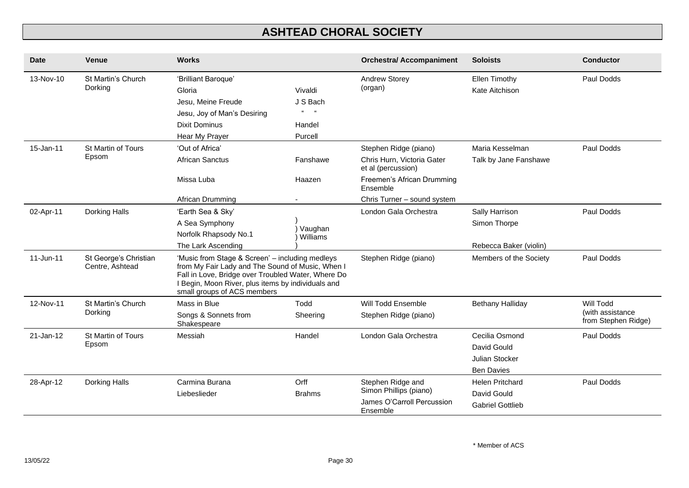| <b>Date</b>  | <b>Venue</b>                             | <b>Works</b>                                                                                                                                                                                                                                   |                                        | <b>Orchestra/ Accompaniment</b>                  | <b>Soloists</b>         | <b>Conductor</b>                        |
|--------------|------------------------------------------|------------------------------------------------------------------------------------------------------------------------------------------------------------------------------------------------------------------------------------------------|----------------------------------------|--------------------------------------------------|-------------------------|-----------------------------------------|
| 13-Nov-10    | St Martin's Church<br>Dorking            | 'Brilliant Baroque'                                                                                                                                                                                                                            |                                        | <b>Andrew Storey</b>                             | Ellen Timothy           | Paul Dodds                              |
|              |                                          | Gloria                                                                                                                                                                                                                                         | Vivaldi                                | (organ)                                          | Kate Aitchison          |                                         |
|              |                                          | Jesu, Meine Freude                                                                                                                                                                                                                             | J S Bach                               |                                                  |                         |                                         |
|              |                                          | Jesu, Joy of Man's Desiring                                                                                                                                                                                                                    | $\alpha$<br>$\mathfrak{c}\mathfrak{c}$ |                                                  |                         |                                         |
|              |                                          | <b>Dixit Dominus</b>                                                                                                                                                                                                                           | Handel                                 |                                                  |                         |                                         |
|              |                                          | Hear My Prayer                                                                                                                                                                                                                                 | Purcell                                |                                                  |                         |                                         |
| 15-Jan-11    | St Martin of Tours                       | 'Out of Africa'                                                                                                                                                                                                                                |                                        | Stephen Ridge (piano)                            | Maria Kesselman         | Paul Dodds                              |
|              | Epsom                                    | <b>African Sanctus</b>                                                                                                                                                                                                                         | Fanshawe                               | Chris Hurn, Victoria Gater<br>et al (percussion) | Talk by Jane Fanshawe   |                                         |
|              |                                          | Missa Luba                                                                                                                                                                                                                                     | Haazen                                 | Freemen's African Drumming<br>Ensemble           |                         |                                         |
|              |                                          | African Drumming                                                                                                                                                                                                                               |                                        | Chris Turner - sound system                      |                         |                                         |
| 02-Apr-11    | Dorking Halls                            | 'Earth Sea & Sky'                                                                                                                                                                                                                              |                                        | London Gala Orchestra                            | Sally Harrison          | Paul Dodds                              |
|              |                                          | A Sea Symphony                                                                                                                                                                                                                                 |                                        |                                                  | Simon Thorpe            |                                         |
|              |                                          | Norfolk Rhapsody No.1                                                                                                                                                                                                                          | Vaughan<br>Williams                    |                                                  |                         |                                         |
|              |                                          | The Lark Ascending                                                                                                                                                                                                                             |                                        |                                                  | Rebecca Baker (violin)  |                                         |
| $11$ -Jun-11 | St George's Christian<br>Centre, Ashtead | 'Music from Stage & Screen' - including medleys<br>from My Fair Lady and The Sound of Music, When I<br>Fall in Love, Bridge over Troubled Water, Where Do<br>I Begin, Moon River, plus items by individuals and<br>small groups of ACS members |                                        | Stephen Ridge (piano)                            | Members of the Society  | Paul Dodds                              |
| 12-Nov-11    | St Martin's Church                       | Mass in Blue                                                                                                                                                                                                                                   | Todd                                   | Will Todd Ensemble                               | Bethany Halliday        | Will Todd                               |
|              | Dorking                                  | Songs & Sonnets from<br>Shakespeare                                                                                                                                                                                                            | Sheering                               | Stephen Ridge (piano)                            |                         | (with assistance<br>from Stephen Ridge) |
| $21$ -Jan-12 | St Martin of Tours                       | Messiah                                                                                                                                                                                                                                        | Handel                                 | London Gala Orchestra                            | Cecilia Osmond          | Paul Dodds                              |
|              | Epsom                                    |                                                                                                                                                                                                                                                |                                        |                                                  | David Gould             |                                         |
|              |                                          |                                                                                                                                                                                                                                                |                                        |                                                  | Julian Stocker          |                                         |
|              |                                          |                                                                                                                                                                                                                                                |                                        |                                                  | <b>Ben Davies</b>       |                                         |
| 28-Apr-12    | Dorking Halls                            | Carmina Burana                                                                                                                                                                                                                                 | Orff                                   | Stephen Ridge and                                | <b>Helen Pritchard</b>  | Paul Dodds                              |
|              |                                          | Liebeslieder                                                                                                                                                                                                                                   | <b>Brahms</b>                          | Simon Phillips (piano)                           | David Gould             |                                         |
|              |                                          |                                                                                                                                                                                                                                                |                                        | James O'Carroll Percussion<br>Ensemble           | <b>Gabriel Gottlieb</b> |                                         |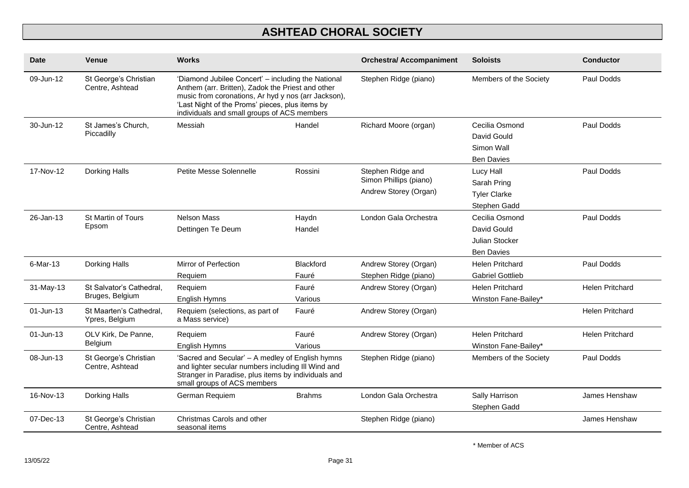| <b>Date</b> | Venue                                       | <b>Works</b>                                                                                                                                                                                 |                                                                                                                                                                                                                                                                                           | <b>Orchestra/ Accompaniment</b>                                      | <b>Soloists</b>                                                      | <b>Conductor</b>       |
|-------------|---------------------------------------------|----------------------------------------------------------------------------------------------------------------------------------------------------------------------------------------------|-------------------------------------------------------------------------------------------------------------------------------------------------------------------------------------------------------------------------------------------------------------------------------------------|----------------------------------------------------------------------|----------------------------------------------------------------------|------------------------|
| 09-Jun-12   | St George's Christian<br>Centre, Ashtead    |                                                                                                                                                                                              | 'Diamond Jubilee Concert' - including the National<br>Stephen Ridge (piano)<br>Anthem (arr. Britten), Zadok the Priest and other<br>music from coronations, Ar hyd y nos (arr Jackson),<br>'Last Night of the Proms' pieces, plus items by<br>individuals and small groups of ACS members |                                                                      | Members of the Society                                               | Paul Dodds             |
| 30-Jun-12   | St James's Church,<br>Piccadilly            | Messiah                                                                                                                                                                                      | Handel                                                                                                                                                                                                                                                                                    | Richard Moore (organ)                                                | Cecilia Osmond<br>David Gould<br>Simon Wall<br><b>Ben Davies</b>     | Paul Dodds             |
| 17-Nov-12   | Dorking Halls                               | Petite Messe Solennelle                                                                                                                                                                      | Rossini                                                                                                                                                                                                                                                                                   | Stephen Ridge and<br>Simon Phillips (piano)<br>Andrew Storey (Organ) | Lucy Hall<br>Sarah Pring<br><b>Tyler Clarke</b><br>Stephen Gadd      | Paul Dodds             |
| 26-Jan-13   | St Martin of Tours<br>Epsom                 | <b>Nelson Mass</b><br>Dettingen Te Deum                                                                                                                                                      | Haydn<br>Handel                                                                                                                                                                                                                                                                           | London Gala Orchestra                                                | Cecilia Osmond<br>David Gould<br>Julian Stocker<br><b>Ben Davies</b> | Paul Dodds             |
| 6-Mar-13    | Dorking Halls                               | Mirror of Perfection                                                                                                                                                                         | Blackford<br>Fauré                                                                                                                                                                                                                                                                        | Andrew Storey (Organ)<br>Stephen Ridge (piano)                       | <b>Helen Pritchard</b><br><b>Gabriel Gottlieb</b>                    | Paul Dodds             |
| 31-May-13   | St Salvator's Cathedral,<br>Bruges, Belgium | Requiem<br>Requiem<br>English Hymns                                                                                                                                                          | Fauré<br>Various                                                                                                                                                                                                                                                                          | Andrew Storey (Organ)                                                | <b>Helen Pritchard</b><br>Winston Fane-Bailey*                       | <b>Helen Pritchard</b> |
| 01-Jun-13   | St Maarten's Cathedral.<br>Ypres, Belgium   | Requiem (selections, as part of<br>a Mass service)                                                                                                                                           | Fauré                                                                                                                                                                                                                                                                                     | Andrew Storey (Organ)                                                |                                                                      | <b>Helen Pritchard</b> |
| 01-Jun-13   | OLV Kirk, De Panne,<br>Belgium              | Requiem<br>English Hymns                                                                                                                                                                     | Fauré<br>Various                                                                                                                                                                                                                                                                          | Andrew Storey (Organ)                                                | <b>Helen Pritchard</b><br>Winston Fane-Bailey*                       | <b>Helen Pritchard</b> |
| 08-Jun-13   | St George's Christian<br>Centre, Ashtead    | 'Sacred and Secular' - A medley of English hymns<br>and lighter secular numbers including III Wind and<br>Stranger in Paradise, plus items by individuals and<br>small groups of ACS members |                                                                                                                                                                                                                                                                                           | Stephen Ridge (piano)                                                | Members of the Society                                               | Paul Dodds             |
| 16-Nov-13   | Dorking Halls                               | German Requiem                                                                                                                                                                               | <b>Brahms</b>                                                                                                                                                                                                                                                                             | London Gala Orchestra                                                | Sally Harrison<br>Stephen Gadd                                       | James Henshaw          |
| 07-Dec-13   | St George's Christian<br>Centre, Ashtead    | Christmas Carols and other<br>seasonal items                                                                                                                                                 |                                                                                                                                                                                                                                                                                           | Stephen Ridge (piano)                                                |                                                                      | James Henshaw          |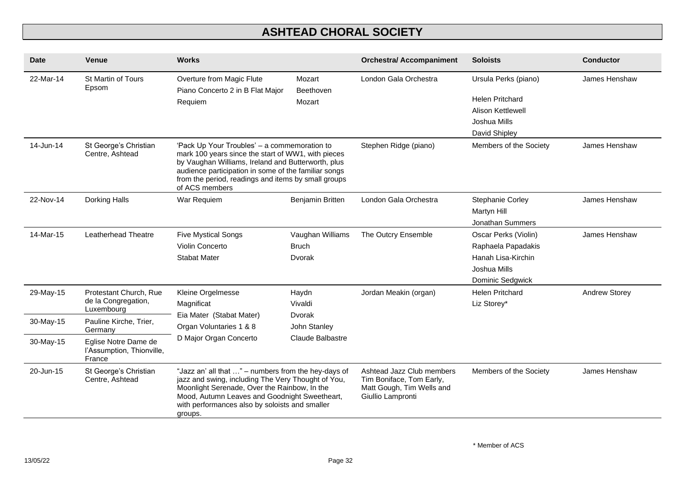| <b>Date</b> | Venue                                                       | <b>Works</b>                                                                                                                                                                                                                                                                              |                                            | <b>Orchestra/ Accompaniment</b>                                                                         | <b>Soloists</b>                                                                                             | <b>Conductor</b> |
|-------------|-------------------------------------------------------------|-------------------------------------------------------------------------------------------------------------------------------------------------------------------------------------------------------------------------------------------------------------------------------------------|--------------------------------------------|---------------------------------------------------------------------------------------------------------|-------------------------------------------------------------------------------------------------------------|------------------|
| 22-Mar-14   | St Martin of Tours<br>Epsom                                 | Overture from Magic Flute<br>Piano Concerto 2 in B Flat Major<br>Requiem                                                                                                                                                                                                                  | Mozart<br>Beethoven<br>Mozart              | London Gala Orchestra                                                                                   | Ursula Perks (piano)<br><b>Helen Pritchard</b><br><b>Alison Kettlewell</b><br>Joshua Mills<br>David Shipley | James Henshaw    |
| 14-Jun-14   | St George's Christian<br>Centre, Ashtead                    | 'Pack Up Your Troubles' - a commemoration to<br>mark 100 years since the start of WW1, with pieces<br>by Vaughan Williams, Ireland and Butterworth, plus<br>audience participation in some of the familiar songs<br>from the period, readings and items by small groups<br>of ACS members |                                            | Stephen Ridge (piano)                                                                                   | Members of the Society                                                                                      | James Henshaw    |
| 22-Nov-14   | Dorking Halls                                               | War Requiem                                                                                                                                                                                                                                                                               | Benjamin Britten                           | London Gala Orchestra                                                                                   | <b>Stephanie Corley</b><br>Martyn Hill<br>Jonathan Summers                                                  | James Henshaw    |
| 14-Mar-15   | Leatherhead Theatre                                         | <b>Five Mystical Songs</b><br>Violin Concerto<br><b>Stabat Mater</b>                                                                                                                                                                                                                      | Vaughan Williams<br><b>Bruch</b><br>Dvorak | The Outcry Ensemble                                                                                     | Oscar Perks (Violin)<br>Raphaela Papadakis<br>Hanah Lisa-Kirchin<br>Joshua Mills<br>Dominic Sedgwick        | James Henshaw    |
| 29-May-15   | Protestant Church, Rue<br>de la Congregation,<br>Luxembourg | Kleine Orgelmesse<br>Magnificat                                                                                                                                                                                                                                                           | Haydn<br>Vivaldi                           | Jordan Meakin (organ)                                                                                   | <b>Helen Pritchard</b><br>Liz Storey*                                                                       | Andrew Storey    |
| 30-May-15   | Pauline Kirche, Trier,<br>Germany                           | Eia Mater (Stabat Mater)<br>Organ Voluntaries 1 & 8                                                                                                                                                                                                                                       | Dvorak<br>John Stanley                     |                                                                                                         |                                                                                                             |                  |
| 30-May-15   | Eglise Notre Dame de<br>l'Assumption, Thionville,<br>France | D Major Organ Concerto                                                                                                                                                                                                                                                                    | <b>Claude Balbastre</b>                    |                                                                                                         |                                                                                                             |                  |
| 20-Jun-15   | St George's Christian<br>Centre, Ashtead                    | "Jazz an' all that " - numbers from the hey-days of<br>jazz and swing, including The Very Thought of You,<br>Moonlight Serenade, Over the Rainbow, In the<br>Mood, Autumn Leaves and Goodnight Sweetheart,<br>with performances also by soloists and smaller<br>groups.                   |                                            | Ashtead Jazz Club members<br>Tim Boniface, Tom Early,<br>Matt Gough, Tim Wells and<br>Giullio Lampronti | Members of the Society                                                                                      | James Henshaw    |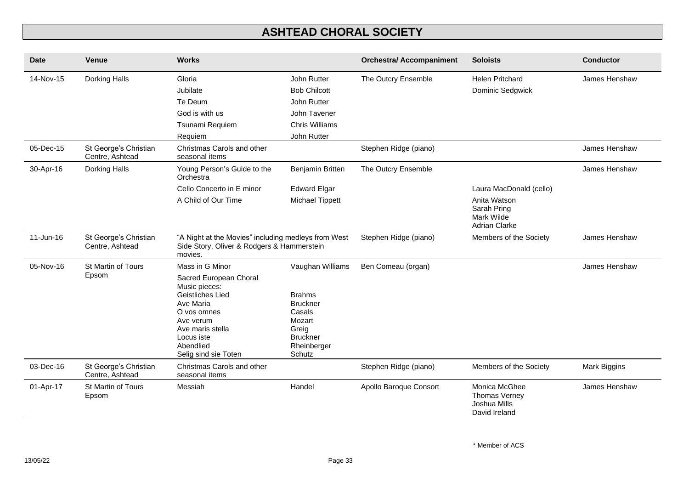| <b>Date</b> | <b>Venue</b>                             | <b>Works</b>                                                                                                                                                                                   |                                                                                                                               | <b>Orchestra/ Accompaniment</b> | <b>Soloists</b>                                                                              | <b>Conductor</b> |
|-------------|------------------------------------------|------------------------------------------------------------------------------------------------------------------------------------------------------------------------------------------------|-------------------------------------------------------------------------------------------------------------------------------|---------------------------------|----------------------------------------------------------------------------------------------|------------------|
| 14-Nov-15   | Dorking Halls                            | Gloria<br>Jubilate<br>Te Deum<br>God is with us<br>Tsunami Requiem<br>Requiem                                                                                                                  | John Rutter<br><b>Bob Chilcott</b><br>John Rutter<br>John Tavener<br><b>Chris Williams</b><br>John Rutter                     | The Outcry Ensemble             | <b>Helen Pritchard</b><br>Dominic Sedgwick                                                   | James Henshaw    |
| 05-Dec-15   | St George's Christian<br>Centre, Ashtead | Christmas Carols and other<br>seasonal items                                                                                                                                                   |                                                                                                                               | Stephen Ridge (piano)           |                                                                                              | James Henshaw    |
| 30-Apr-16   | Dorking Halls                            | Young Person's Guide to the<br>Orchestra<br>Cello Concerto in E minor<br>A Child of Our Time                                                                                                   | Benjamin Britten<br><b>Edward Elgar</b><br><b>Michael Tippett</b>                                                             | The Outcry Ensemble             | Laura MacDonald (cello)<br>Anita Watson<br>Sarah Pring<br>Mark Wilde<br><b>Adrian Clarke</b> | James Henshaw    |
| 11-Jun-16   | St George's Christian<br>Centre, Ashtead | "A Night at the Movies" including medleys from West<br>Side Story, Oliver & Rodgers & Hammerstein<br>movies.                                                                                   |                                                                                                                               | Stephen Ridge (piano)           | Members of the Society                                                                       | James Henshaw    |
| 05-Nov-16   | St Martin of Tours<br>Epsom              | Mass in G Minor<br>Sacred European Choral<br>Music pieces:<br>Geistliches Lied<br>Ave Maria<br>O vos omnes<br>Ave verum<br>Ave maris stella<br>Locus iste<br>Abendlied<br>Selig sind sie Toten | Vaughan Williams<br><b>Brahms</b><br><b>Bruckner</b><br>Casals<br>Mozart<br>Greig<br><b>Bruckner</b><br>Rheinberger<br>Schutz | Ben Comeau (organ)              |                                                                                              | James Henshaw    |
| 03-Dec-16   | St George's Christian<br>Centre, Ashtead | Christmas Carols and other<br>seasonal items                                                                                                                                                   |                                                                                                                               | Stephen Ridge (piano)           | Members of the Society                                                                       | Mark Biggins     |
| 01-Apr-17   | St Martin of Tours<br>Epsom              | Messiah                                                                                                                                                                                        | Handel                                                                                                                        | Apollo Baroque Consort          | Monica McGhee<br>Thomas Verney<br>Joshua Mills<br>David Ireland                              | James Henshaw    |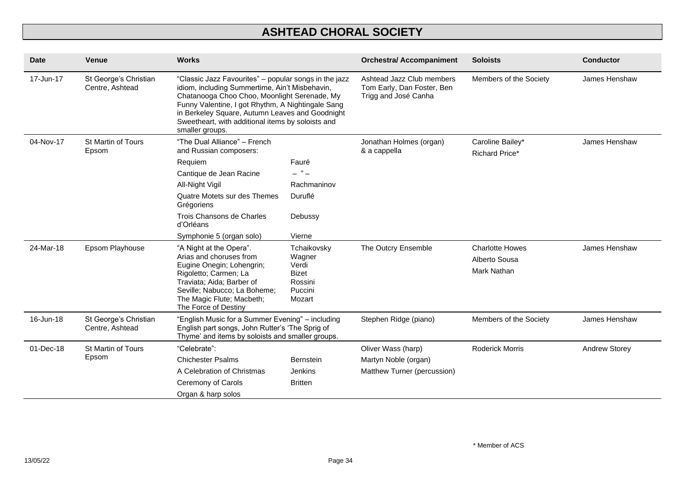| <b>Date</b> | <b>Venue</b>                             | <b>Works</b>                                                                                                                                                                                                                                                                                                                            |                                                                                | <b>Orchestra/ Accompaniment</b>                                                 | <b>Soloists</b>                                        | <b>Conductor</b>     |
|-------------|------------------------------------------|-----------------------------------------------------------------------------------------------------------------------------------------------------------------------------------------------------------------------------------------------------------------------------------------------------------------------------------------|--------------------------------------------------------------------------------|---------------------------------------------------------------------------------|--------------------------------------------------------|----------------------|
| 17-Jun-17   | St George's Christian<br>Centre, Ashtead | "Classic Jazz Favourites" - popular songs in the jazz<br>idiom, including Summertime, Ain't Misbehavin,<br>Chatanooga Choo Choo, Moonlight Serenade, My<br>Funny Valentine, I got Rhythm, A Nightingale Sang<br>in Berkeley Square, Autumn Leaves and Goodnight<br>Sweetheart, with additional items by soloists and<br>smaller groups. |                                                                                | Ashtead Jazz Club members<br>Tom Early, Dan Foster, Ben<br>Trigg and José Canha | Members of the Society                                 | James Henshaw        |
| 04-Nov-17   | St Martin of Tours<br>Epsom              | "The Dual Alliance" - French<br>and Russian composers:                                                                                                                                                                                                                                                                                  |                                                                                | Jonathan Holmes (organ)<br>& a cappella                                         | Caroline Bailey*<br><b>Richard Price*</b>              | James Henshaw        |
|             |                                          | Requiem                                                                                                                                                                                                                                                                                                                                 | Fauré                                                                          |                                                                                 |                                                        |                      |
|             |                                          | Cantique de Jean Racine                                                                                                                                                                                                                                                                                                                 | - " -                                                                          |                                                                                 |                                                        |                      |
|             |                                          | All-Night Vigil                                                                                                                                                                                                                                                                                                                         | Rachmaninov                                                                    |                                                                                 |                                                        |                      |
|             |                                          | Quatre Motets sur des Themes<br>Grégoriens                                                                                                                                                                                                                                                                                              | Duruflé                                                                        |                                                                                 |                                                        |                      |
|             |                                          | Trois Chansons de Charles<br>d'Orléans                                                                                                                                                                                                                                                                                                  | Debussy                                                                        |                                                                                 |                                                        |                      |
|             |                                          | Symphonie 5 (organ solo)                                                                                                                                                                                                                                                                                                                | Vierne                                                                         |                                                                                 |                                                        |                      |
| 24-Mar-18   | Epsom Playhouse                          | "A Night at the Opera".<br>Arias and choruses from<br>Eugine Onegin; Lohengrin;<br>Rigoletto; Carmen; La<br>Traviata; Aida; Barber of<br>Seville; Nabucco; La Boheme;<br>The Magic Flute; Macbeth;<br>The Force of Destiny                                                                                                              | Tchaikovsky<br>Wagner<br>Verdi<br><b>Bizet</b><br>Rossini<br>Puccini<br>Mozart | The Outcry Ensemble                                                             | <b>Charlotte Howes</b><br>Alberto Sousa<br>Mark Nathan | James Henshaw        |
| 16-Jun-18   | St George's Christian<br>Centre, Ashtead | "English Music for a Summer Evening" - including<br>English part songs, John Rutter's 'The Sprig of<br>Thyme' and items by soloists and smaller groups.                                                                                                                                                                                 |                                                                                | Stephen Ridge (piano)                                                           | Members of the Society                                 | James Henshaw        |
| 01-Dec-18   | St Martin of Tours                       | "Celebrate":                                                                                                                                                                                                                                                                                                                            |                                                                                | Oliver Wass (harp)                                                              | <b>Roderick Morris</b>                                 | <b>Andrew Storey</b> |
|             | Epsom                                    | <b>Chichester Psalms</b>                                                                                                                                                                                                                                                                                                                | <b>Bernstein</b>                                                               | Martyn Noble (organ)                                                            |                                                        |                      |
|             |                                          | A Celebration of Christmas                                                                                                                                                                                                                                                                                                              | Jenkins                                                                        | Matthew Turner (percussion)                                                     |                                                        |                      |
|             |                                          | Ceremony of Carols                                                                                                                                                                                                                                                                                                                      | <b>Britten</b>                                                                 |                                                                                 |                                                        |                      |
|             |                                          | Organ & harp solos                                                                                                                                                                                                                                                                                                                      |                                                                                |                                                                                 |                                                        |                      |